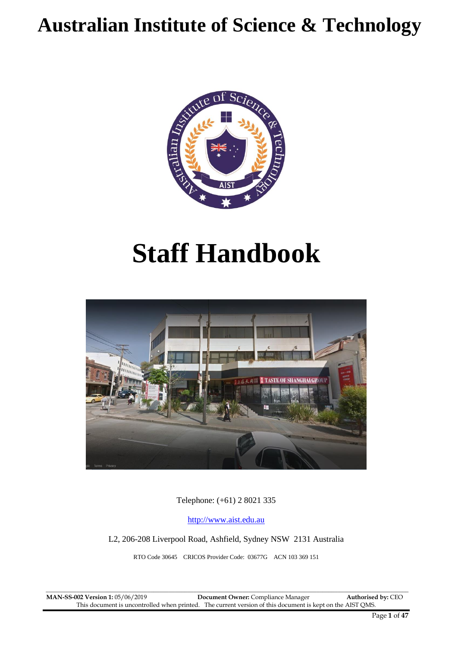## **Australian Institute of Science & Technology**



# **Staff Handbook**



Telephone: (+61) 2 8021 335

[http://www.aist.edu.au](http://www.aist.edu.au/)

L2, 206-208 Liverpool Road, Ashfield, Sydney NSW 2131 Australia

RTO Code 30645 CRICOS Provider Code: 03677G ACN 103 369 151

 $\_$  ,  $\_$  ,  $\_$  ,  $\_$  ,  $\_$  ,  $\_$  ,  $\_$  ,  $\_$  ,  $\_$  ,  $\_$  ,  $\_$  ,  $\_$  ,  $\_$  ,  $\_$  ,  $\_$  ,  $\_$  ,  $\_$  ,  $\_$  ,  $\_$  ,  $\_$  ,  $\_$  ,  $\_$  ,  $\_$  ,  $\_$  ,  $\_$  ,  $\_$  ,  $\_$  ,  $\_$  ,  $\_$  ,  $\_$  ,  $\_$  ,  $\_$  ,  $\_$  ,  $\_$  ,  $\_$  ,  $\_$  ,  $\_$  , **MAN-SS-002 Version 1:** 05/06/2019 **Document Owner:** Compliance Manager **Authorised by:** CEO This document is uncontrolled when printed. The current version of this document is kept on the AIST QMS.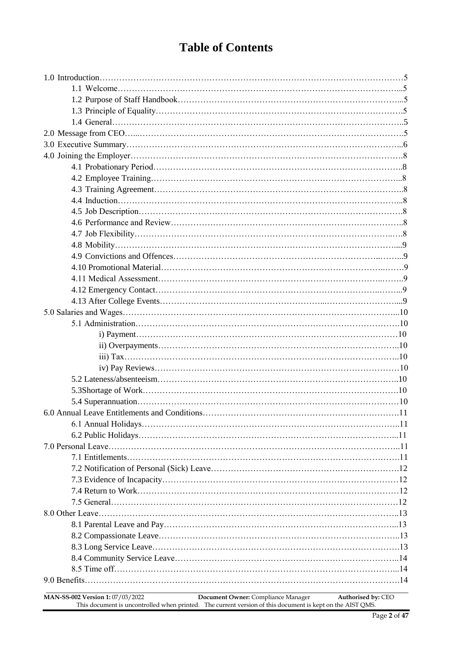## **Table of Contents**

| MAN-SS-002 Version 1: 07/03/2022 | Document Owner: Compliance Manager | Authorised by: CEO |
|----------------------------------|------------------------------------|--------------------|

This document is uncontrolled when printed. The current version of this document is kept on the AIST QMS.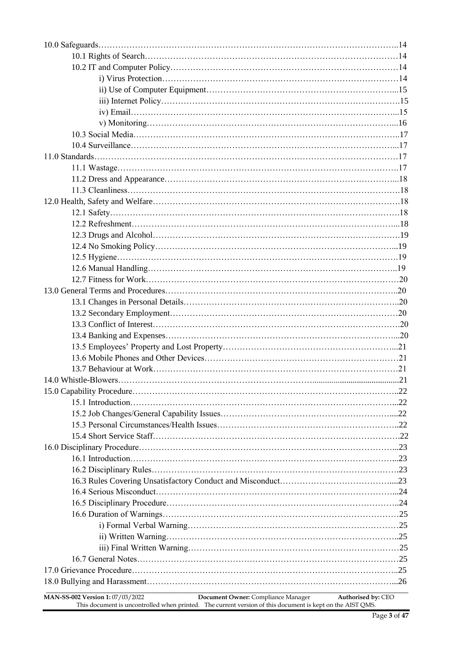| Document Owner: Compliance Manager<br>MAN-SS-002 Version 1: 07/03/2022<br>Authorised by: CEO<br>This document is uncontrolled when printed. The current version of this document is kept on the AIST QMS. |  |
|-----------------------------------------------------------------------------------------------------------------------------------------------------------------------------------------------------------|--|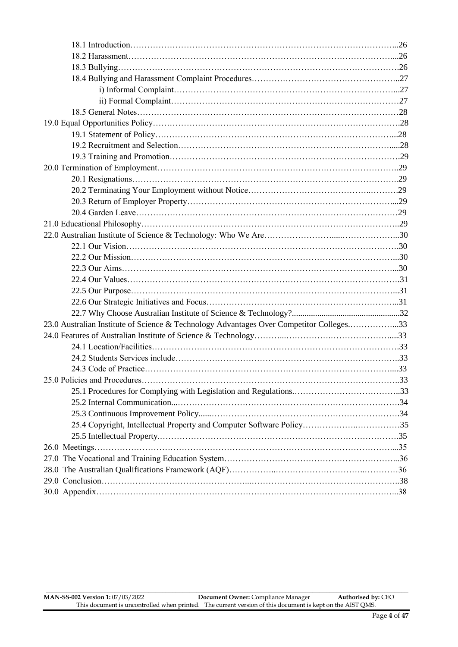| 23.0 Australian Institute of Science & Technology Advantages Over Competitor Colleges33 |  |
|-----------------------------------------------------------------------------------------|--|
|                                                                                         |  |
|                                                                                         |  |
|                                                                                         |  |
|                                                                                         |  |
|                                                                                         |  |
|                                                                                         |  |
|                                                                                         |  |
|                                                                                         |  |
| 25.4 Copyright, Intellectual Property and Computer Software Policy35                    |  |
|                                                                                         |  |
|                                                                                         |  |
|                                                                                         |  |
|                                                                                         |  |
|                                                                                         |  |
|                                                                                         |  |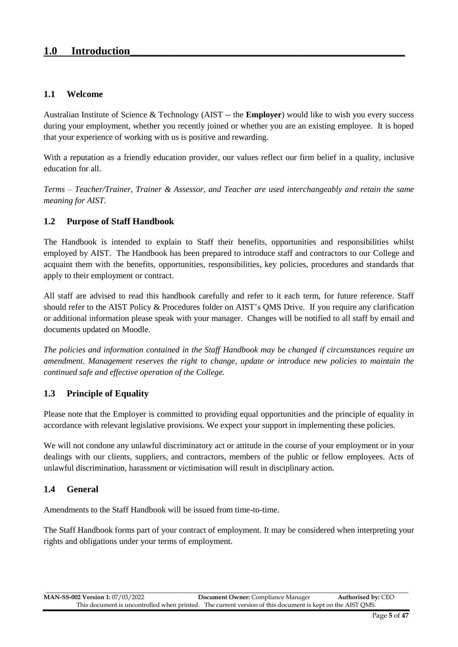## 1.0 **Introduction**

#### **1.1 Welcome**

Australian Institute of Science & Technology (AIST -- the **Employer**) would like to wish you every success during your employment, whether you recently joined or whether you are an existing employee. It is hoped that your experience of working with us is positive and rewarding.

With a reputation as a friendly education provider, our values reflect our firm belief in a quality, inclusive education for all.

*Terms – Teacher/Trainer, Trainer & Assessor, and Teacher are used interchangeably and retain the same meaning for AIST*.

#### **1.2 Purpose of Staff Handbook**

The Handbook is intended to explain to Staff their benefits, opportunities and responsibilities whilst employed by AIST. The Handbook has been prepared to introduce staff and contractors to our College and acquaint them with the benefits, opportunities, responsibilities, key policies, procedures and standards that apply to their employment or contract.

All staff are advised to read this handbook carefully and refer to it each term, for future reference. Staff should refer to the AIST Policy & Procedures folder on AIST's QMS Drive. If you require any clarification or additional information please speak with your manager. Changes will be notified to all staff by email and documents updated on Moodle.

*The policies and information contained in the Staff Handbook may be changed if circumstances require an amendment. Management reserves the right to change, update or introduce new policies to maintain the continued safe and effective operation of the College.*

#### **1.3 Principle of Equality**

Please note that the Employer is committed to providing equal opportunities and the principle of equality in accordance with relevant legislative provisions. We expect your support in implementing these policies.

We will not condone any unlawful discriminatory act or attitude in the course of your employment or in your dealings with our clients, suppliers, and contractors, members of the public or fellow employees. Acts of unlawful discrimination, harassment or victimisation will result in disciplinary action.

#### **1.4 General**

Amendments to the Staff Handbook will be issued from time-to-time.

The Staff Handbook forms part of your contract of employment. It may be considered when interpreting your rights and obligations under your terms of employment.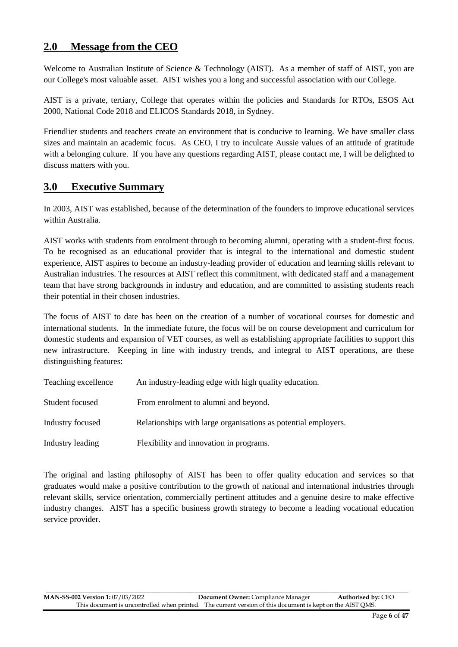## **2.0 Message from the CEO**

Welcome to Australian Institute of Science & Technology (AIST). As a member of staff of AIST, you are our College's most valuable asset. AIST wishes you a long and successful association with our College.

AIST is a private, tertiary, College that operates within the policies and Standards for RTOs, ESOS Act 2000, National Code 2018 and ELICOS Standards 2018, in Sydney.

Friendlier students and teachers create an environment that is conducive to learning. We have smaller class sizes and maintain an academic focus. As CEO, I try to inculcate Aussie values of an attitude of gratitude with a belonging culture. If you have any questions regarding AIST, please contact me, I will be delighted to discuss matters with you.

## **3.0 Executive Summary**

In 2003, AIST was established, because of the determination of the founders to improve educational services within Australia.

AIST works with students from enrolment through to becoming alumni, operating with a student-first focus. To be recognised as an educational provider that is integral to the international and domestic student experience, AIST aspires to become an industry-leading provider of education and learning skills relevant to Australian industries. The resources at AIST reflect this commitment, with dedicated staff and a management team that have strong backgrounds in industry and education, and are committed to assisting students reach their potential in their chosen industries.

The focus of AIST to date has been on the creation of a number of vocational courses for domestic and international students. In the immediate future, the focus will be on course development and curriculum for domestic students and expansion of VET courses, as well as establishing appropriate facilities to support this new infrastructure. Keeping in line with industry trends, and integral to AIST operations, are these distinguishing features:

| Teaching excellence | An industry-leading edge with high quality education.          |
|---------------------|----------------------------------------------------------------|
| Student focused     | From enrolment to alumni and beyond.                           |
| Industry focused    | Relationships with large organisations as potential employers. |
| Industry leading    | Flexibility and innovation in programs.                        |

The original and lasting philosophy of AIST has been to offer quality education and services so that graduates would make a positive contribution to the growth of national and international industries through relevant skills, service orientation, commercially pertinent attitudes and a genuine desire to make effective industry changes. AIST has a specific business growth strategy to become a leading vocational education service provider.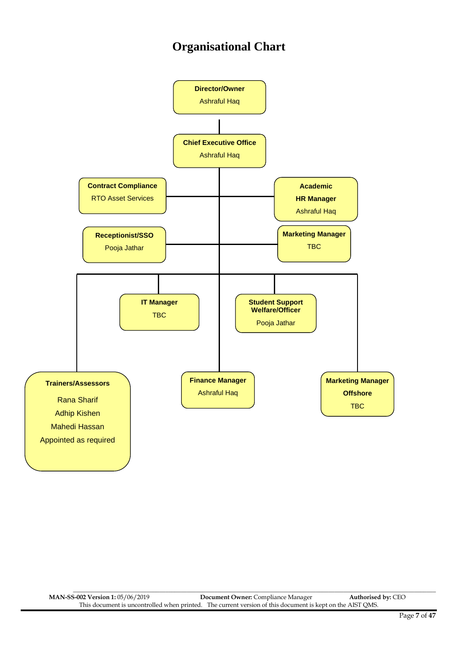## **Organisational Chart**



\_\_\_\_\_\_\_\_\_\_\_\_\_\_\_\_\_\_\_\_\_\_\_\_\_\_\_\_\_\_\_\_\_\_\_\_\_\_\_\_\_\_\_\_\_\_\_\_\_\_\_\_\_\_\_\_\_\_\_\_\_\_\_\_\_\_\_\_\_\_\_\_\_\_\_\_\_\_\_\_\_\_\_\_\_\_\_\_\_\_\_\_\_\_\_\_\_\_\_\_\_\_\_\_\_\_\_\_\_\_\_\_\_\_\_\_\_\_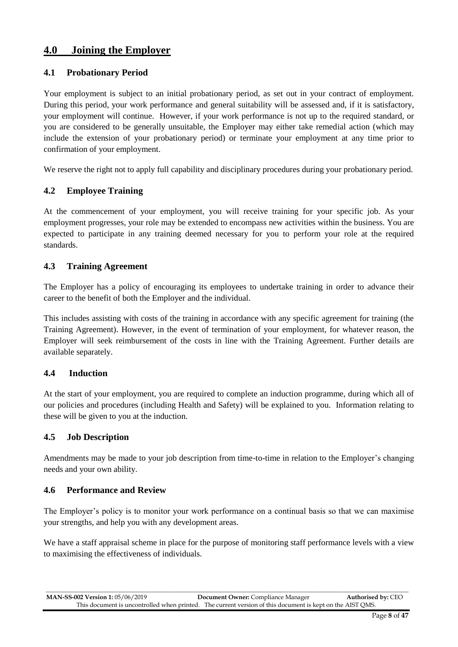## **4.0 Joining the Employer**

#### **4.1 Probationary Period**

Your employment is subject to an initial probationary period, as set out in your contract of employment. During this period, your work performance and general suitability will be assessed and, if it is satisfactory, your employment will continue. However, if your work performance is not up to the required standard, or you are considered to be generally unsuitable, the Employer may either take remedial action (which may include the extension of your probationary period) or terminate your employment at any time prior to confirmation of your employment.

We reserve the right not to apply full capability and disciplinary procedures during your probationary period.

#### **4.2 Employee Training**

At the commencement of your employment, you will receive training for your specific job. As your employment progresses, your role may be extended to encompass new activities within the business. You are expected to participate in any training deemed necessary for you to perform your role at the required standards.

#### **4.3 Training Agreement**

The Employer has a policy of encouraging its employees to undertake training in order to advance their career to the benefit of both the Employer and the individual.

This includes assisting with costs of the training in accordance with any specific agreement for training (the Training Agreement). However, in the event of termination of your employment, for whatever reason, the Employer will seek reimbursement of the costs in line with the Training Agreement. Further details are available separately.

#### **4.4 Induction**

At the start of your employment, you are required to complete an induction programme, during which all of our policies and procedures (including Health and Safety) will be explained to you. Information relating to these will be given to you at the induction.

#### **4.5 Job Description**

Amendments may be made to your job description from time-to-time in relation to the Employer's changing needs and your own ability.

#### **4.6 Performance and Review**

The Employer's policy is to monitor your work performance on a continual basis so that we can maximise your strengths, and help you with any development areas.

We have a staff appraisal scheme in place for the purpose of monitoring staff performance levels with a view to maximising the effectiveness of individuals.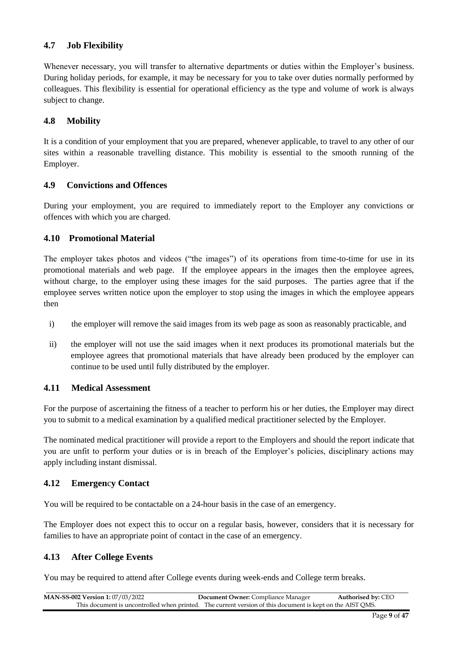#### **4.7 Job Flexibility**

Whenever necessary, you will transfer to alternative departments or duties within the Employer's business. During holiday periods, for example, it may be necessary for you to take over duties normally performed by colleagues. This flexibility is essential for operational efficiency as the type and volume of work is always subject to change.

#### **4.8 Mobility**

It is a condition of your employment that you are prepared, whenever applicable, to travel to any other of our sites within a reasonable travelling distance. This mobility is essential to the smooth running of the Employer.

#### **4.9 Convictions and Offences**

During your employment, you are required to immediately report to the Employer any convictions or offences with which you are charged.

#### **4.10 Promotional Material**

The employer takes photos and videos ("the images") of its operations from time-to-time for use in its promotional materials and web page. If the employee appears in the images then the employee agrees, without charge, to the employer using these images for the said purposes. The parties agree that if the employee serves written notice upon the employer to stop using the images in which the employee appears then

- i) the employer will remove the said images from its web page as soon as reasonably practicable, and
- ii) the employer will not use the said images when it next produces its promotional materials but the employee agrees that promotional materials that have already been produced by the employer can continue to be used until fully distributed by the employer.

#### **4.11 Medical Assessment**

For the purpose of ascertaining the fitness of a teacher to perform his or her duties, the Employer may direct you to submit to a medical examination by a qualified medical practitioner selected by the Employer.

The nominated medical practitioner will provide a report to the Employers and should the report indicate that you are unfit to perform your duties or is in breach of the Employer's policies, disciplinary actions may apply including instant dismissal.

#### **4.12 Emergen**c**y Contact**

You will be required to be contactable on a 24-hour basis in the case of an emergency.

The Employer does not expect this to occur on a regular basis, however, considers that it is necessary for families to have an appropriate point of contact in the case of an emergency.

#### **4.13 After College Events**

You may be required to attend after College events during week-ends and College term breaks.

| <b>MAN-SS-002 Version 1: 07/03/2022</b> | <b>Document Owner:</b> Compliance Manager                                                                 | <b>Authorised by: CEO</b> |
|-----------------------------------------|-----------------------------------------------------------------------------------------------------------|---------------------------|
|                                         | This document is uncontrolled when printed. The current version of this document is kept on the AIST OMS. |                           |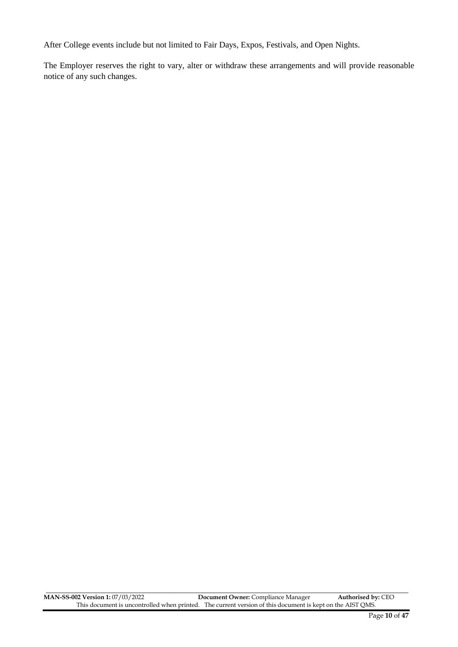After College events include but not limited to Fair Days, Expos, Festivals, and Open Nights.

The Employer reserves the right to vary, alter or withdraw these arrangements and will provide reasonable notice of any such changes.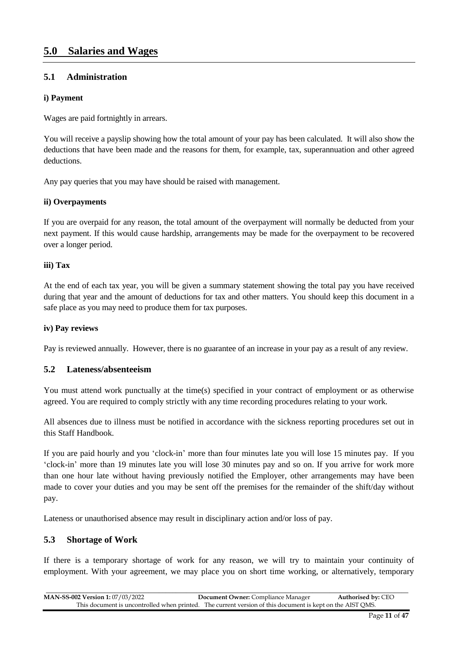## **5.0 Salaries and Wages**

#### **5.1 Administration**

#### **i) Payment**

Wages are paid fortnightly in arrears.

You will receive a payslip showing how the total amount of your pay has been calculated. It will also show the deductions that have been made and the reasons for them, for example, tax, superannuation and other agreed deductions.

Any pay queries that you may have should be raised with management.

#### **ii) Overpayments**

If you are overpaid for any reason, the total amount of the overpayment will normally be deducted from your next payment. If this would cause hardship, arrangements may be made for the overpayment to be recovered over a longer period.

#### **iii) Tax**

At the end of each tax year, you will be given a summary statement showing the total pay you have received during that year and the amount of deductions for tax and other matters. You should keep this document in a safe place as you may need to produce them for tax purposes.

#### **iv) Pay reviews**

Pay is reviewed annually. However, there is no guarantee of an increase in your pay as a result of any review.

#### **5.2 Lateness/absenteeism**

You must attend work punctually at the time(s) specified in your contract of employment or as otherwise agreed. You are required to comply strictly with any time recording procedures relating to your work.

All absences due to illness must be notified in accordance with the sickness reporting procedures set out in this Staff Handbook.

If you are paid hourly and you 'clock-in' more than four minutes late you will lose 15 minutes pay. If you 'clock-in' more than 19 minutes late you will lose 30 minutes pay and so on. If you arrive for work more than one hour late without having previously notified the Employer, other arrangements may have been made to cover your duties and you may be sent off the premises for the remainder of the shift/day without pay.

Lateness or unauthorised absence may result in disciplinary action and/or loss of pay.

#### **5.3 Shortage of Work**

If there is a temporary shortage of work for any reason, we will try to maintain your continuity of employment. With your agreement, we may place you on short time working, or alternatively, temporary

| <b>MAN-SS-002 Version 1: 07/03/2022</b> | <b>Document Owner:</b> Compliance Manager                                                                 | <b>Authorised by: CEO</b> |
|-----------------------------------------|-----------------------------------------------------------------------------------------------------------|---------------------------|
|                                         | This document is uncontrolled when printed. The current version of this document is kept on the AIST OMS. |                           |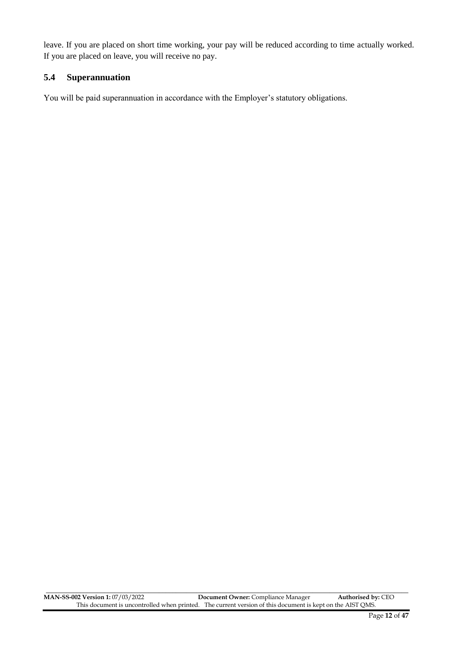leave. If you are placed on short time working, your pay will be reduced according to time actually worked. If you are placed on leave, you will receive no pay.

#### **5.4 Superannuation**

You will be paid superannuation in accordance with the Employer's statutory obligations.

\_\_\_\_\_\_\_\_\_\_\_\_\_\_\_\_\_\_\_\_\_\_\_\_\_\_\_\_\_\_\_\_\_\_\_\_\_\_\_\_\_\_\_\_\_\_\_\_\_\_\_\_\_\_\_\_\_\_\_\_\_\_\_\_\_\_\_\_\_\_\_\_\_\_\_\_\_\_\_\_\_\_\_\_\_\_\_\_\_\_\_\_\_\_\_\_\_\_\_\_\_\_\_\_\_\_ **MAN-SS-002 Version 1:** 07/03/2022 **Document Owner:** Compliance Manager **Authorised by:** CEO This document is uncontrolled when printed. The current version of this document is kept on the AIST QMS.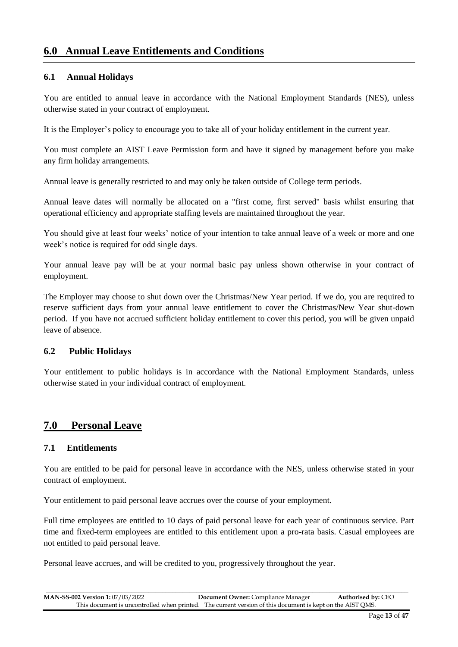## **6.0 Annual Leave Entitlements and Conditions**

#### **6.1 Annual Holidays**

You are entitled to annual leave in accordance with the National Employment Standards (NES), unless otherwise stated in your contract of employment.

It is the Employer's policy to encourage you to take all of your holiday entitlement in the current year.

You must complete an AIST Leave Permission form and have it signed by management before you make any firm holiday arrangements.

Annual leave is generally restricted to and may only be taken outside of College term periods.

Annual leave dates will normally be allocated on a "first come, first served" basis whilst ensuring that operational efficiency and appropriate staffing levels are maintained throughout the year.

You should give at least four weeks' notice of your intention to take annual leave of a week or more and one week's notice is required for odd single days.

Your annual leave pay will be at your normal basic pay unless shown otherwise in your contract of employment.

The Employer may choose to shut down over the Christmas/New Year period. If we do, you are required to reserve sufficient days from your annual leave entitlement to cover the Christmas/New Year shut-down period. If you have not accrued sufficient holiday entitlement to cover this period, you will be given unpaid leave of absence.

#### **6.2 Public Holidays**

Your entitlement to public holidays is in accordance with the National Employment Standards, unless otherwise stated in your individual contract of employment.

## **7.0 Personal Leave**

#### **7.1 Entitlements**

You are entitled to be paid for personal leave in accordance with the NES, unless otherwise stated in your contract of employment.

Your entitlement to paid personal leave accrues over the course of your employment.

Full time employees are entitled to 10 days of paid personal leave for each year of continuous service. Part time and fixed-term employees are entitled to this entitlement upon a pro-rata basis. Casual employees are not entitled to paid personal leave.

Personal leave accrues, and will be credited to you, progressively throughout the year.

| <b>MAN-SS-002 Version 1: 07/03/2022</b> | <b>Document Owner:</b> Compliance Manager                                                                 | <b>Authorised by: CEO</b> |
|-----------------------------------------|-----------------------------------------------------------------------------------------------------------|---------------------------|
|                                         | This document is uncontrolled when printed. The current version of this document is kept on the AIST OMS. |                           |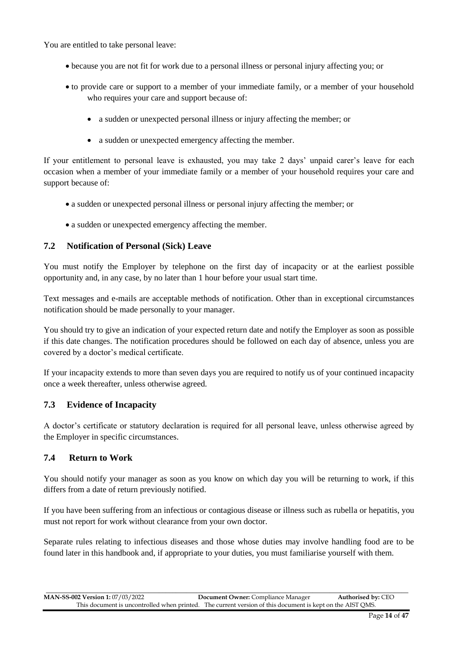You are entitled to take personal leave:

- because you are not fit for work due to a personal illness or personal injury affecting you; or
- to provide care or support to a member of your immediate family, or a member of your household who requires your care and support because of:
	- a sudden or unexpected personal illness or injury affecting the member; or
	- a sudden or unexpected emergency affecting the member.

If your entitlement to personal leave is exhausted, you may take 2 days' unpaid carer's leave for each occasion when a member of your immediate family or a member of your household requires your care and support because of:

- a sudden or unexpected personal illness or personal injury affecting the member; or
- a sudden or unexpected emergency affecting the member.

#### **7.2 Notification of Personal (Sick) Leave**

You must notify the Employer by telephone on the first day of incapacity or at the earliest possible opportunity and, in any case, by no later than 1 hour before your usual start time.

Text messages and e-mails are acceptable methods of notification. Other than in exceptional circumstances notification should be made personally to your manager.

You should try to give an indication of your expected return date and notify the Employer as soon as possible if this date changes. The notification procedures should be followed on each day of absence, unless you are covered by a doctor's medical certificate.

If your incapacity extends to more than seven days you are required to notify us of your continued incapacity once a week thereafter, unless otherwise agreed.

#### **7.3 Evidence of Incapacity**

A doctor's certificate or statutory declaration is required for all personal leave, unless otherwise agreed by the Employer in specific circumstances.

#### **7.4 Return to Work**

You should notify your manager as soon as you know on which day you will be returning to work, if this differs from a date of return previously notified.

If you have been suffering from an infectious or contagious disease or illness such as rubella or hepatitis, you must not report for work without clearance from your own doctor.

Separate rules relating to infectious diseases and those whose duties may involve handling food are to be found later in this handbook and, if appropriate to your duties, you must familiarise yourself with them.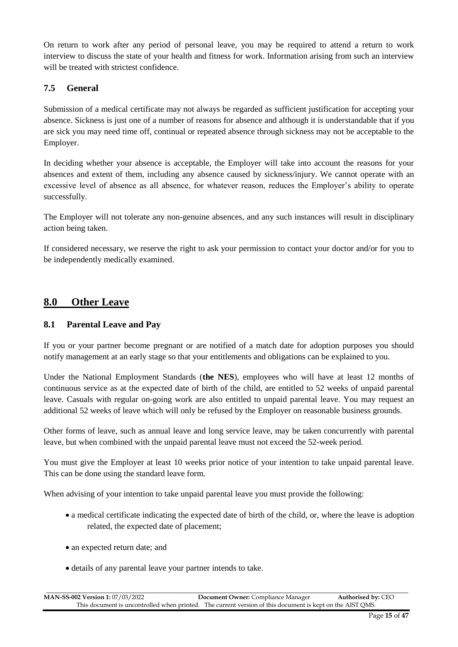On return to work after any period of personal leave, you may be required to attend a return to work interview to discuss the state of your health and fitness for work. Information arising from such an interview will be treated with strictest confidence.

## **7.5 General**

Submission of a medical certificate may not always be regarded as sufficient justification for accepting your absence. Sickness is just one of a number of reasons for absence and although it is understandable that if you are sick you may need time off, continual or repeated absence through sickness may not be acceptable to the Employer.

In deciding whether your absence is acceptable, the Employer will take into account the reasons for your absences and extent of them, including any absence caused by sickness/injury. We cannot operate with an excessive level of absence as all absence, for whatever reason, reduces the Employer's ability to operate successfully.

The Employer will not tolerate any non-genuine absences, and any such instances will result in disciplinary action being taken.

If considered necessary, we reserve the right to ask your permission to contact your doctor and/or for you to be independently medically examined.

## **8.0 Other Leave**

#### **8.1 Parental Leave and Pay**

If you or your partner become pregnant or are notified of a match date for adoption purposes you should notify management at an early stage so that your entitlements and obligations can be explained to you.

Under the National Employment Standards (**the NES**), employees who will have at least 12 months of continuous service as at the expected date of birth of the child, are entitled to 52 weeks of unpaid parental leave. Casuals with regular on-going work are also entitled to unpaid parental leave. You may request an additional 52 weeks of leave which will only be refused by the Employer on reasonable business grounds.

Other forms of leave, such as annual leave and long service leave, may be taken concurrently with parental leave, but when combined with the unpaid parental leave must not exceed the 52-week period.

You must give the Employer at least 10 weeks prior notice of your intention to take unpaid parental leave. This can be done using the standard leave form.

When advising of your intention to take unpaid parental leave you must provide the following:

- a medical certificate indicating the expected date of birth of the child, or, where the leave is adoption related, the expected date of placement;
- an expected return date; and
- details of any parental leave your partner intends to take.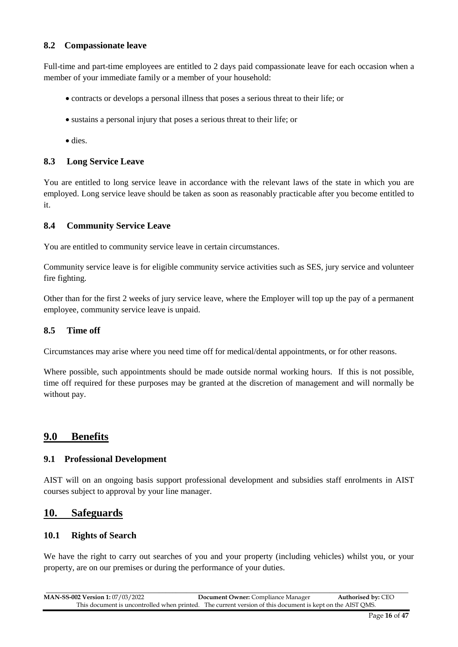#### **8.2 Compassionate leave**

Full-time and part-time employees are entitled to 2 days paid compassionate leave for each occasion when a member of your immediate family or a member of your household:

- contracts or develops a personal illness that poses a serious threat to their life; or
- sustains a personal injury that poses a serious threat to their life; or
- dies.

#### **8.3 Long Service Leave**

You are entitled to long service leave in accordance with the relevant laws of the state in which you are employed. Long service leave should be taken as soon as reasonably practicable after you become entitled to it.

#### **8.4 Community Service Leave**

You are entitled to community service leave in certain circumstances.

Community service leave is for eligible community service activities such as SES, jury service and volunteer fire fighting.

Other than for the first 2 weeks of jury service leave, where the Employer will top up the pay of a permanent employee, community service leave is unpaid.

#### **8.5 Time off**

Circumstances may arise where you need time off for medical/dental appointments, or for other reasons.

Where possible, such appointments should be made outside normal working hours. If this is not possible, time off required for these purposes may be granted at the discretion of management and will normally be without pay.

#### **9.0 Benefits**

#### **9.1 Professional Development**

AIST will on an ongoing basis support professional development and subsidies staff enrolments in AIST courses subject to approval by your line manager.

#### **10. Safeguards**

#### **10.1 Rights of Search**

We have the right to carry out searches of you and your property (including vehicles) whilst you, or your property, are on our premises or during the performance of your duties.

| <b>MAN-SS-002 Version 1:</b> 07/03/2022 | <b>Document Owner:</b> Compliance Manager                                                                 | <b>Authorised by: CEO</b> |
|-----------------------------------------|-----------------------------------------------------------------------------------------------------------|---------------------------|
|                                         | This document is uncontrolled when printed. The current version of this document is kept on the AIST OMS. |                           |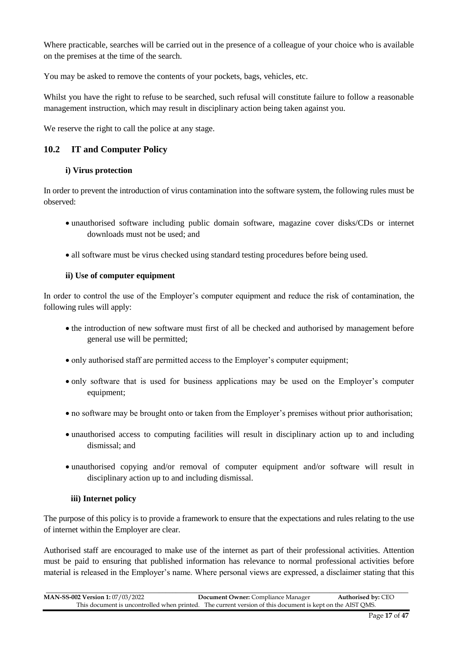Where practicable, searches will be carried out in the presence of a colleague of your choice who is available on the premises at the time of the search.

You may be asked to remove the contents of your pockets, bags, vehicles, etc.

Whilst you have the right to refuse to be searched, such refusal will constitute failure to follow a reasonable management instruction, which may result in disciplinary action being taken against you.

We reserve the right to call the police at any stage.

#### **10.2 IT and Computer Policy**

#### **i) Virus protection**

In order to prevent the introduction of virus contamination into the software system, the following rules must be observed:

- unauthorised software including public domain software, magazine cover disks/CDs or internet downloads must not be used; and
- all software must be virus checked using standard testing procedures before being used.

#### **ii) Use of computer equipment**

In order to control the use of the Employer's computer equipment and reduce the risk of contamination, the following rules will apply:

- the introduction of new software must first of all be checked and authorised by management before general use will be permitted;
- only authorised staff are permitted access to the Employer's computer equipment;
- only software that is used for business applications may be used on the Employer's computer equipment;
- no software may be brought onto or taken from the Employer's premises without prior authorisation;
- unauthorised access to computing facilities will result in disciplinary action up to and including dismissal; and
- unauthorised copying and/or removal of computer equipment and/or software will result in disciplinary action up to and including dismissal.

#### **iii) Internet policy**

The purpose of this policy is to provide a framework to ensure that the expectations and rules relating to the use of internet within the Employer are clear.

Authorised staff are encouraged to make use of the internet as part of their professional activities. Attention must be paid to ensuring that published information has relevance to normal professional activities before material is released in the Employer's name. Where personal views are expressed, a disclaimer stating that this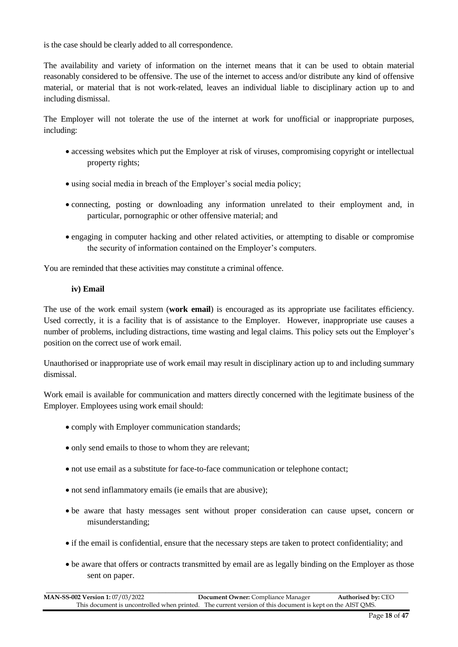is the case should be clearly added to all correspondence.

The availability and variety of information on the internet means that it can be used to obtain material reasonably considered to be offensive. The use of the internet to access and/or distribute any kind of offensive material, or material that is not work-related, leaves an individual liable to disciplinary action up to and including dismissal.

The Employer will not tolerate the use of the internet at work for unofficial or inappropriate purposes, including:

- accessing websites which put the Employer at risk of viruses, compromising copyright or intellectual property rights;
- using social media in breach of the Employer's social media policy;
- connecting, posting or downloading any information unrelated to their employment and, in particular, pornographic or other offensive material; and
- engaging in computer hacking and other related activities, or attempting to disable or compromise the security of information contained on the Employer's computers.

You are reminded that these activities may constitute a criminal offence.

#### **iv) Email**

The use of the work email system (**work email**) is encouraged as its appropriate use facilitates efficiency. Used correctly, it is a facility that is of assistance to the Employer. However, inappropriate use causes a number of problems, including distractions, time wasting and legal claims. This policy sets out the Employer's position on the correct use of work email.

Unauthorised or inappropriate use of work email may result in disciplinary action up to and including summary dismissal.

Work email is available for communication and matters directly concerned with the legitimate business of the Employer. Employees using work email should:

- comply with Employer communication standards;
- only send emails to those to whom they are relevant;
- not use email as a substitute for face-to-face communication or telephone contact;
- not send inflammatory emails (ie emails that are abusive);
- be aware that hasty messages sent without proper consideration can cause upset, concern or misunderstanding;
- if the email is confidential, ensure that the necessary steps are taken to protect confidentiality; and
- be aware that offers or contracts transmitted by email are as legally binding on the Employer as those sent on paper.

\_\_\_\_\_\_\_\_\_\_\_\_\_\_\_\_\_\_\_\_\_\_\_\_\_\_\_\_\_\_\_\_\_\_\_\_\_\_\_\_\_\_\_\_\_\_\_\_\_\_\_\_\_\_\_\_\_\_\_\_\_\_\_\_\_\_\_\_\_\_\_\_\_\_\_\_\_\_\_\_\_\_\_\_\_\_\_\_\_\_\_\_\_\_\_\_\_\_\_\_\_\_\_\_\_\_ **MAN-SS-002 Version 1:** 07/03/2022 **Document Owner:** Compliance Manager **Authorised by:** CEO This document is uncontrolled when printed. The current version of this document is kept on the AIST QMS.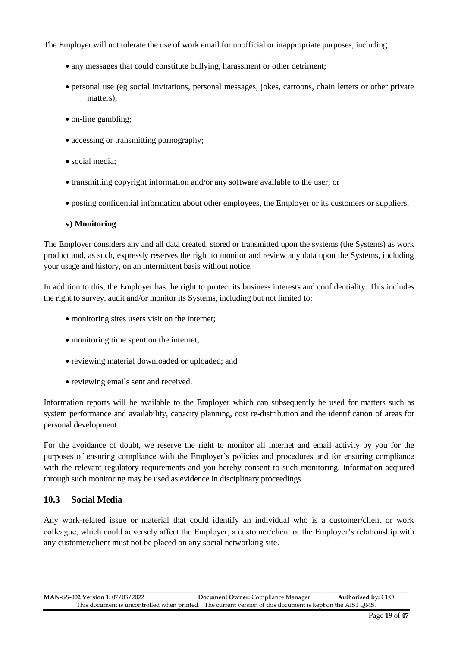The Employer will not tolerate the use of work email for unofficial or inappropriate purposes, including:

- any messages that could constitute bullying, harassment or other detriment;
- personal use (eg social invitations, personal messages, jokes, cartoons, chain letters or other private matters);
- on-line gambling;
- accessing or transmitting pornography;
- social media;
- transmitting copyright information and/or any software available to the user; or
- posting confidential information about other employees, the Employer or its customers or suppliers.

#### **v) Monitoring**

The Employer considers any and all data created, stored or transmitted upon the systems (the Systems) as work product and, as such, expressly reserves the right to monitor and review any data upon the Systems, including your usage and history, on an intermittent basis without notice.

In addition to this, the Employer has the right to protect its business interests and confidentiality. This includes the right to survey, audit and/or monitor its Systems, including but not limited to:

- monitoring sites users visit on the internet;
- monitoring time spent on the internet;
- reviewing material downloaded or uploaded; and
- reviewing emails sent and received.

Information reports will be available to the Employer which can subsequently be used for matters such as system performance and availability, capacity planning, cost re-distribution and the identification of areas for personal development.

For the avoidance of doubt, we reserve the right to monitor all internet and email activity by you for the purposes of ensuring compliance with the Employer's policies and procedures and for ensuring compliance with the relevant regulatory requirements and you hereby consent to such monitoring. Information acquired through such monitoring may be used as evidence in disciplinary proceedings.

#### **10.3 Social Media**

Any work-related issue or material that could identify an individual who is a customer/client or work colleague, which could adversely affect the Employer, a customer/client or the Employer's relationship with any customer/client must not be placed on any social networking site.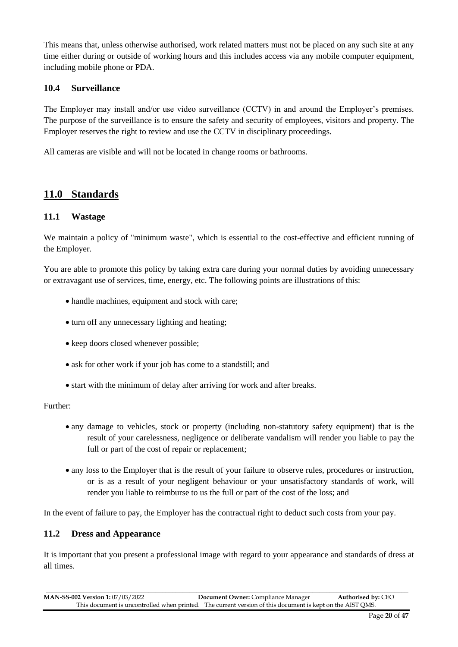This means that, unless otherwise authorised, work related matters must not be placed on any such site at any time either during or outside of working hours and this includes access via any mobile computer equipment, including mobile phone or PDA.

#### **10.4 Surveillance**

The Employer may install and/or use video surveillance (CCTV) in and around the Employer's premises. The purpose of the surveillance is to ensure the safety and security of employees, visitors and property. The Employer reserves the right to review and use the CCTV in disciplinary proceedings.

All cameras are visible and will not be located in change rooms or bathrooms.

## **11.0 Standards**

#### **11.1 Wastage**

We maintain a policy of "minimum waste", which is essential to the cost-effective and efficient running of the Employer.

You are able to promote this policy by taking extra care during your normal duties by avoiding unnecessary or extravagant use of services, time, energy, etc. The following points are illustrations of this:

- handle machines, equipment and stock with care;
- turn off any unnecessary lighting and heating;
- keep doors closed whenever possible;
- ask for other work if your job has come to a standstill; and
- start with the minimum of delay after arriving for work and after breaks.

#### Further:

- any damage to vehicles, stock or property (including non-statutory safety equipment) that is the result of your carelessness, negligence or deliberate vandalism will render you liable to pay the full or part of the cost of repair or replacement;
- any loss to the Employer that is the result of your failure to observe rules, procedures or instruction, or is as a result of your negligent behaviour or your unsatisfactory standards of work, will render you liable to reimburse to us the full or part of the cost of the loss; and

In the event of failure to pay, the Employer has the contractual right to deduct such costs from your pay.

#### **11.2 Dress and Appearance**

It is important that you present a professional image with regard to your appearance and standards of dress at all times.

| <b>MAN-SS-002 Version 1: 07/03/2022</b> | <b>Document Owner:</b> Compliance Manager                                                                 | <b>Authorised by: CEO</b> |
|-----------------------------------------|-----------------------------------------------------------------------------------------------------------|---------------------------|
|                                         | This document is uncontrolled when printed. The current version of this document is kept on the AIST OMS. |                           |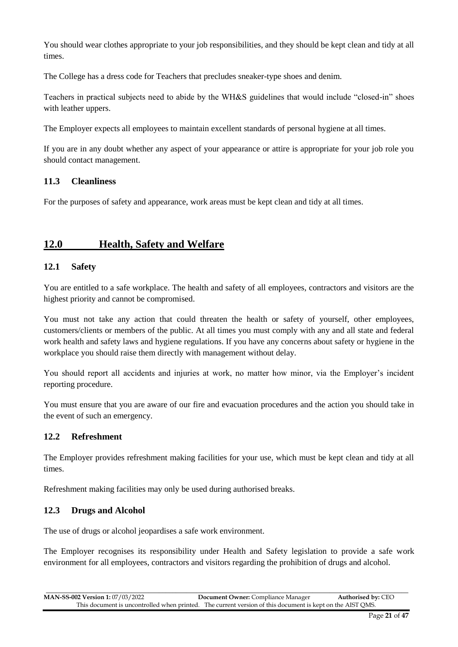You should wear clothes appropriate to your job responsibilities, and they should be kept clean and tidy at all times.

The College has a dress code for Teachers that precludes sneaker-type shoes and denim.

Teachers in practical subjects need to abide by the WH&S guidelines that would include "closed-in" shoes with leather uppers.

The Employer expects all employees to maintain excellent standards of personal hygiene at all times.

If you are in any doubt whether any aspect of your appearance or attire is appropriate for your job role you should contact management.

#### **11.3 Cleanliness**

For the purposes of safety and appearance, work areas must be kept clean and tidy at all times.

## **12.0 Health, Safety and Welfare**

#### **12.1 Safety**

You are entitled to a safe workplace. The health and safety of all employees, contractors and visitors are the highest priority and cannot be compromised.

You must not take any action that could threaten the health or safety of yourself, other employees, customers/clients or members of the public. At all times you must comply with any and all state and federal work health and safety laws and hygiene regulations. If you have any concerns about safety or hygiene in the workplace you should raise them directly with management without delay.

You should report all accidents and injuries at work, no matter how minor, via the Employer's incident reporting procedure.

You must ensure that you are aware of our fire and evacuation procedures and the action you should take in the event of such an emergency.

#### **12.2 Refreshment**

The Employer provides refreshment making facilities for your use, which must be kept clean and tidy at all times.

Refreshment making facilities may only be used during authorised breaks.

#### **12.3 Drugs and Alcohol**

The use of drugs or alcohol jeopardises a safe work environment.

The Employer recognises its responsibility under Health and Safety legislation to provide a safe work environment for all employees, contractors and visitors regarding the prohibition of drugs and alcohol.

| <b>MAN-SS-002 Version 1: 07/03/2022</b> | <b>Document Owner:</b> Compliance Manager                                                                 | <b>Authorised by: CEO</b> |
|-----------------------------------------|-----------------------------------------------------------------------------------------------------------|---------------------------|
|                                         | This document is uncontrolled when printed. The current version of this document is kept on the AIST QMS. |                           |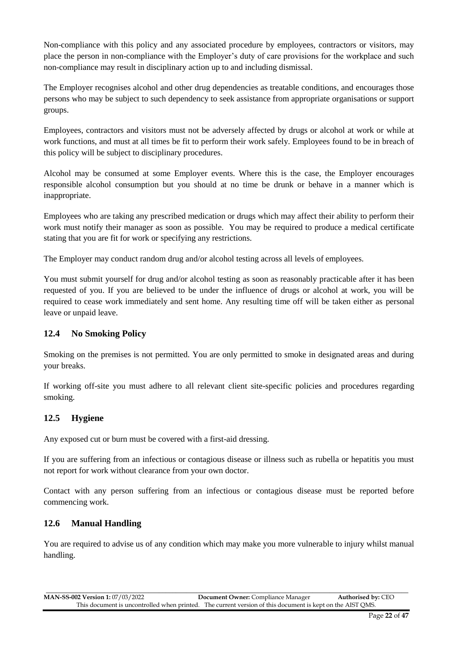Non-compliance with this policy and any associated procedure by employees, contractors or visitors, may place the person in non-compliance with the Employer's duty of care provisions for the workplace and such non-compliance may result in disciplinary action up to and including dismissal.

The Employer recognises alcohol and other drug dependencies as treatable conditions, and encourages those persons who may be subject to such dependency to seek assistance from appropriate organisations or support groups.

Employees, contractors and visitors must not be adversely affected by drugs or alcohol at work or while at work functions, and must at all times be fit to perform their work safely. Employees found to be in breach of this policy will be subject to disciplinary procedures.

Alcohol may be consumed at some Employer events. Where this is the case, the Employer encourages responsible alcohol consumption but you should at no time be drunk or behave in a manner which is inappropriate.

Employees who are taking any prescribed medication or drugs which may affect their ability to perform their work must notify their manager as soon as possible. You may be required to produce a medical certificate stating that you are fit for work or specifying any restrictions.

The Employer may conduct random drug and/or alcohol testing across all levels of employees.

You must submit yourself for drug and/or alcohol testing as soon as reasonably practicable after it has been requested of you. If you are believed to be under the influence of drugs or alcohol at work, you will be required to cease work immediately and sent home. Any resulting time off will be taken either as personal leave or unpaid leave.

#### **12.4 No Smoking Policy**

Smoking on the premises is not permitted. You are only permitted to smoke in designated areas and during your breaks.

If working off-site you must adhere to all relevant client site-specific policies and procedures regarding smoking.

#### **12.5 Hygiene**

Any exposed cut or burn must be covered with a first-aid dressing.

If you are suffering from an infectious or contagious disease or illness such as rubella or hepatitis you must not report for work without clearance from your own doctor.

Contact with any person suffering from an infectious or contagious disease must be reported before commencing work.

#### **12.6 Manual Handling**

You are required to advise us of any condition which may make you more vulnerable to injury whilst manual handling.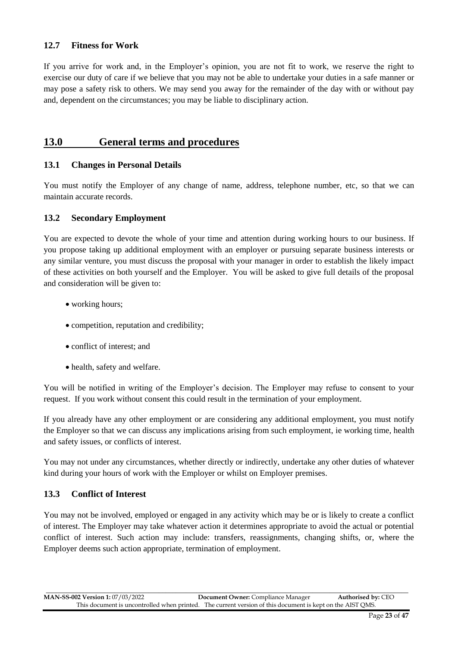#### **12.7 Fitness for Work**

If you arrive for work and, in the Employer's opinion, you are not fit to work, we reserve the right to exercise our duty of care if we believe that you may not be able to undertake your duties in a safe manner or may pose a safety risk to others. We may send you away for the remainder of the day with or without pay and, dependent on the circumstances; you may be liable to disciplinary action.

## **13.0 General terms and procedures**

#### **13.1 Changes in Personal Details**

You must notify the Employer of any change of name, address, telephone number, etc, so that we can maintain accurate records.

#### **13.2 Secondary Employment**

You are expected to devote the whole of your time and attention during working hours to our business. If you propose taking up additional employment with an employer or pursuing separate business interests or any similar venture, you must discuss the proposal with your manager in order to establish the likely impact of these activities on both yourself and the Employer. You will be asked to give full details of the proposal and consideration will be given to:

- working hours;
- competition, reputation and credibility;
- conflict of interest; and
- health, safety and welfare.

You will be notified in writing of the Employer's decision. The Employer may refuse to consent to your request. If you work without consent this could result in the termination of your employment.

If you already have any other employment or are considering any additional employment, you must notify the Employer so that we can discuss any implications arising from such employment, ie working time, health and safety issues, or conflicts of interest.

You may not under any circumstances, whether directly or indirectly, undertake any other duties of whatever kind during your hours of work with the Employer or whilst on Employer premises.

#### **13.3 Conflict of Interest**

You may not be involved, employed or engaged in any activity which may be or is likely to create a conflict of interest. The Employer may take whatever action it determines appropriate to avoid the actual or potential conflict of interest. Such action may include: transfers, reassignments, changing shifts, or, where the Employer deems such action appropriate, termination of employment.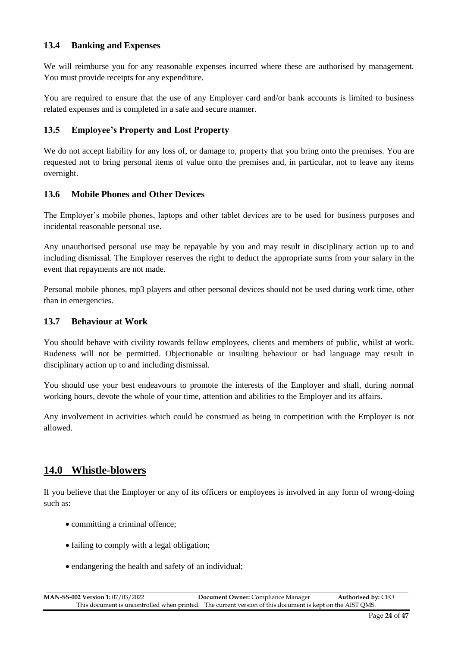#### **13.4 Banking and Expenses**

We will reimburse you for any reasonable expenses incurred where these are authorised by management. You must provide receipts for any expenditure.

You are required to ensure that the use of any Employer card and/or bank accounts is limited to business related expenses and is completed in a safe and secure manner.

#### **13.5 Employee's Property and Lost Property**

We do not accept liability for any loss of, or damage to, property that you bring onto the premises. You are requested not to bring personal items of value onto the premises and, in particular, not to leave any items overnight.

#### **13.6 Mobile Phones and Other Devices**

The Employer's mobile phones, laptops and other tablet devices are to be used for business purposes and incidental reasonable personal use.

Any unauthorised personal use may be repayable by you and may result in disciplinary action up to and including dismissal. The Employer reserves the right to deduct the appropriate sums from your salary in the event that repayments are not made.

Personal mobile phones, mp3 players and other personal devices should not be used during work time, other than in emergencies.

#### **13.7 Behaviour at Work**

You should behave with civility towards fellow employees, clients and members of public, whilst at work. Rudeness will not be permitted. Objectionable or insulting behaviour or bad language may result in disciplinary action up to and including dismissal.

You should use your best endeavours to promote the interests of the Employer and shall, during normal working hours, devote the whole of your time, attention and abilities to the Employer and its affairs.

Any involvement in activities which could be construed as being in competition with the Employer is not allowed.

## **14.0 Whistle-blowers**

If you believe that the Employer or any of its officers or employees is involved in any form of wrong-doing such as:

- committing a criminal offence;
- failing to comply with a legal obligation;
- endangering the health and safety of an individual;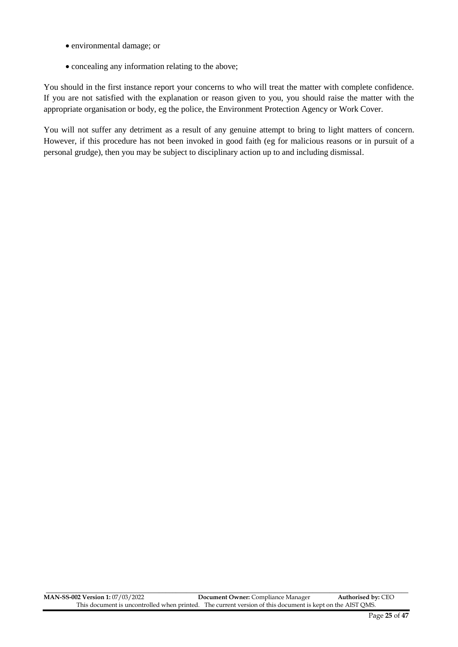- environmental damage; or
- concealing any information relating to the above;

You should in the first instance report your concerns to who will treat the matter with complete confidence. If you are not satisfied with the explanation or reason given to you, you should raise the matter with the appropriate organisation or body, eg the police, the Environment Protection Agency or Work Cover.

You will not suffer any detriment as a result of any genuine attempt to bring to light matters of concern. However, if this procedure has not been invoked in good faith (eg for malicious reasons or in pursuit of a personal grudge), then you may be subject to disciplinary action up to and including dismissal.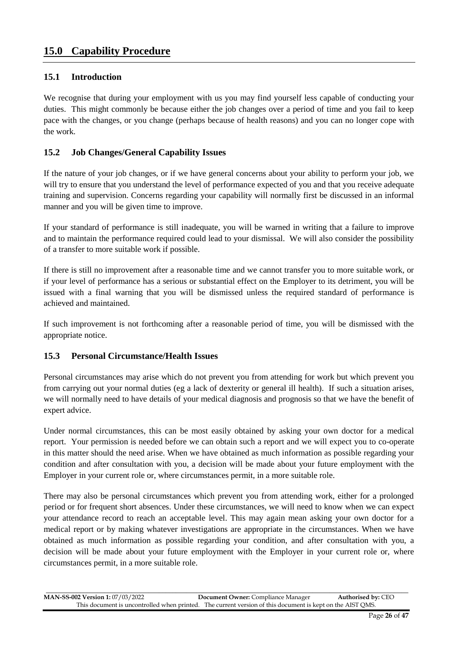#### **15.1 Introduction**

We recognise that during your employment with us you may find yourself less capable of conducting your duties. This might commonly be because either the job changes over a period of time and you fail to keep pace with the changes, or you change (perhaps because of health reasons) and you can no longer cope with the work.

#### **15.2 Job Changes/General Capability Issues**

If the nature of your job changes, or if we have general concerns about your ability to perform your job, we will try to ensure that you understand the level of performance expected of you and that you receive adequate training and supervision. Concerns regarding your capability will normally first be discussed in an informal manner and you will be given time to improve.

If your standard of performance is still inadequate, you will be warned in writing that a failure to improve and to maintain the performance required could lead to your dismissal. We will also consider the possibility of a transfer to more suitable work if possible.

If there is still no improvement after a reasonable time and we cannot transfer you to more suitable work, or if your level of performance has a serious or substantial effect on the Employer to its detriment, you will be issued with a final warning that you will be dismissed unless the required standard of performance is achieved and maintained.

If such improvement is not forthcoming after a reasonable period of time, you will be dismissed with the appropriate notice.

#### **15.3 Personal Circumstance/Health Issues**

Personal circumstances may arise which do not prevent you from attending for work but which prevent you from carrying out your normal duties (eg a lack of dexterity or general ill health). If such a situation arises, we will normally need to have details of your medical diagnosis and prognosis so that we have the benefit of expert advice.

Under normal circumstances, this can be most easily obtained by asking your own doctor for a medical report. Your permission is needed before we can obtain such a report and we will expect you to co-operate in this matter should the need arise. When we have obtained as much information as possible regarding your condition and after consultation with you, a decision will be made about your future employment with the Employer in your current role or, where circumstances permit, in a more suitable role.

There may also be personal circumstances which prevent you from attending work, either for a prolonged period or for frequent short absences. Under these circumstances, we will need to know when we can expect your attendance record to reach an acceptable level. This may again mean asking your own doctor for a medical report or by making whatever investigations are appropriate in the circumstances. When we have obtained as much information as possible regarding your condition, and after consultation with you, a decision will be made about your future employment with the Employer in your current role or, where circumstances permit, in a more suitable role.

| <b>MAN-SS-002 Version 1: 07/03/2022</b> | <b>Document Owner:</b> Compliance Manager                                                                 | <b>Authorised by: CEO</b> |
|-----------------------------------------|-----------------------------------------------------------------------------------------------------------|---------------------------|
|                                         | This document is uncontrolled when printed. The current version of this document is kept on the AIST OMS. |                           |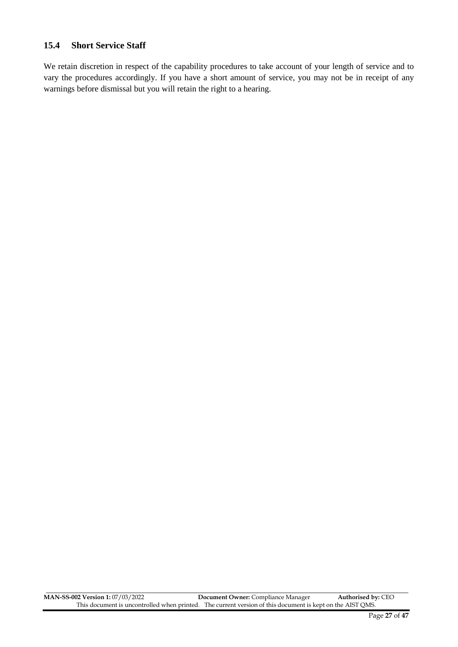#### **15.4 Short Service Staff**

We retain discretion in respect of the capability procedures to take account of your length of service and to vary the procedures accordingly. If you have a short amount of service, you may not be in receipt of any warnings before dismissal but you will retain the right to a hearing.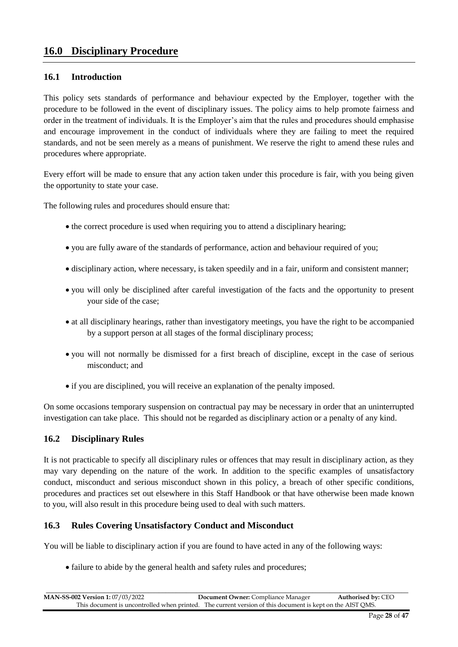## **16.0 Disciplinary Procedure**

#### **16.1 Introduction**

This policy sets standards of performance and behaviour expected by the Employer, together with the procedure to be followed in the event of disciplinary issues. The policy aims to help promote fairness and order in the treatment of individuals. It is the Employer's aim that the rules and procedures should emphasise and encourage improvement in the conduct of individuals where they are failing to meet the required standards, and not be seen merely as a means of punishment. We reserve the right to amend these rules and procedures where appropriate.

Every effort will be made to ensure that any action taken under this procedure is fair, with you being given the opportunity to state your case.

The following rules and procedures should ensure that:

- the correct procedure is used when requiring you to attend a disciplinary hearing;
- you are fully aware of the standards of performance, action and behaviour required of you;
- disciplinary action, where necessary, is taken speedily and in a fair, uniform and consistent manner;
- you will only be disciplined after careful investigation of the facts and the opportunity to present your side of the case;
- at all disciplinary hearings, rather than investigatory meetings, you have the right to be accompanied by a support person at all stages of the formal disciplinary process;
- you will not normally be dismissed for a first breach of discipline, except in the case of serious misconduct; and
- if you are disciplined, you will receive an explanation of the penalty imposed.

On some occasions temporary suspension on contractual pay may be necessary in order that an uninterrupted investigation can take place. This should not be regarded as disciplinary action or a penalty of any kind.

#### **16.2 Disciplinary Rules**

It is not practicable to specify all disciplinary rules or offences that may result in disciplinary action, as they may vary depending on the nature of the work. In addition to the specific examples of unsatisfactory conduct, misconduct and serious misconduct shown in this policy, a breach of other specific conditions, procedures and practices set out elsewhere in this Staff Handbook or that have otherwise been made known to you, will also result in this procedure being used to deal with such matters.

#### **16.3 Rules Covering Unsatisfactory Conduct and Misconduct**

You will be liable to disciplinary action if you are found to have acted in any of the following ways:

• failure to abide by the general health and safety rules and procedures;

\_\_\_\_\_\_\_\_\_\_\_\_\_\_\_\_\_\_\_\_\_\_\_\_\_\_\_\_\_\_\_\_\_\_\_\_\_\_\_\_\_\_\_\_\_\_\_\_\_\_\_\_\_\_\_\_\_\_\_\_\_\_\_\_\_\_\_\_\_\_\_\_\_\_\_\_\_\_\_\_\_\_\_\_\_\_\_\_\_\_\_\_\_\_\_\_\_\_\_\_\_\_\_\_\_\_ **MAN-SS-002 Version 1:** 07/03/2022 **Document Owner:** Compliance Manager **Authorised by:** CEO This document is uncontrolled when printed. The current version of this document is kept on the AIST QMS.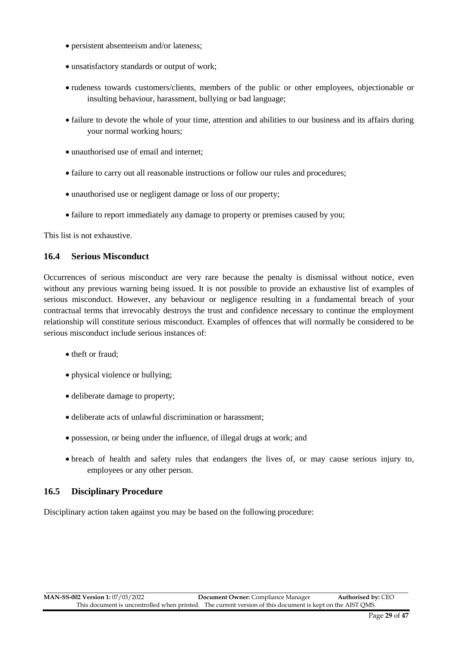- persistent absenteeism and/or lateness;
- unsatisfactory standards or output of work;
- rudeness towards customers/clients, members of the public or other employees, objectionable or insulting behaviour, harassment, bullying or bad language;
- failure to devote the whole of your time, attention and abilities to our business and its affairs during your normal working hours;
- unauthorised use of email and internet;
- failure to carry out all reasonable instructions or follow our rules and procedures;
- unauthorised use or negligent damage or loss of our property;
- failure to report immediately any damage to property or premises caused by you;

This list is not exhaustive.

#### **16.4 Serious Misconduct**

Occurrences of serious misconduct are very rare because the penalty is dismissal without notice, even without any previous warning being issued. It is not possible to provide an exhaustive list of examples of serious misconduct. However, any behaviour or negligence resulting in a fundamental breach of your contractual terms that irrevocably destroys the trust and confidence necessary to continue the employment relationship will constitute serious misconduct. Examples of offences that will normally be considered to be serious misconduct include serious instances of:

- theft or fraud:
- physical violence or bullying;
- deliberate damage to property;
- deliberate acts of unlawful discrimination or harassment;
- possession, or being under the influence, of illegal drugs at work; and
- breach of health and safety rules that endangers the lives of, or may cause serious injury to, employees or any other person.

#### **16.5 Disciplinary Procedure**

Disciplinary action taken against you may be based on the following procedure: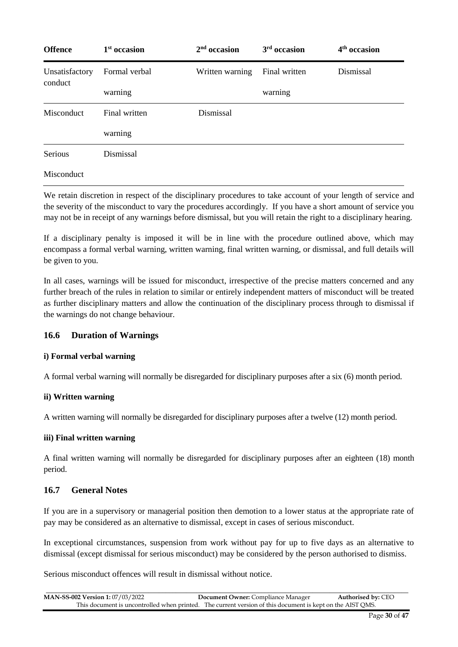| <b>Offence</b>            | $1st$ occasion | $2nd$ occasion  | 3 <sup>rd</sup> occasion | 4 <sup>th</sup> occasion |
|---------------------------|----------------|-----------------|--------------------------|--------------------------|
| Unsatisfactory<br>conduct | Formal verbal  | Written warning | Final written            | Dismissal                |
|                           | warning        |                 | warning                  |                          |
| Misconduct                | Final written  | Dismissal       |                          |                          |
|                           | warning        |                 |                          |                          |
| Serious                   | Dismissal      |                 |                          |                          |
| Misconduct                |                |                 |                          |                          |

We retain discretion in respect of the disciplinary procedures to take account of your length of service and the severity of the misconduct to vary the procedures accordingly. If you have a short amount of service you may not be in receipt of any warnings before dismissal, but you will retain the right to a disciplinary hearing.

If a disciplinary penalty is imposed it will be in line with the procedure outlined above, which may encompass a formal verbal warning, written warning, final written warning, or dismissal, and full details will be given to you.

In all cases, warnings will be issued for misconduct, irrespective of the precise matters concerned and any further breach of the rules in relation to similar or entirely independent matters of misconduct will be treated as further disciplinary matters and allow the continuation of the disciplinary process through to dismissal if the warnings do not change behaviour.

#### **16.6 Duration of Warnings**

#### **i) Formal verbal warning**

A formal verbal warning will normally be disregarded for disciplinary purposes after a six (6) month period.

#### **ii) Written warning**

A written warning will normally be disregarded for disciplinary purposes after a twelve (12) month period.

#### **iii) Final written warning**

A final written warning will normally be disregarded for disciplinary purposes after an eighteen (18) month period.

#### **16.7 General Notes**

If you are in a supervisory or managerial position then demotion to a lower status at the appropriate rate of pay may be considered as an alternative to dismissal, except in cases of serious misconduct.

In exceptional circumstances, suspension from work without pay for up to five days as an alternative to dismissal (except dismissal for serious misconduct) may be considered by the person authorised to dismiss.

Serious misconduct offences will result in dismissal without notice.

| <b>MAN-SS-002 Version 1: 07/03/2022</b> | <b>Document Owner:</b> Compliance Manager                                                                 | <b>Authorised by: CEO</b> |
|-----------------------------------------|-----------------------------------------------------------------------------------------------------------|---------------------------|
|                                         | This document is uncontrolled when printed. The current version of this document is kept on the AIST OMS. |                           |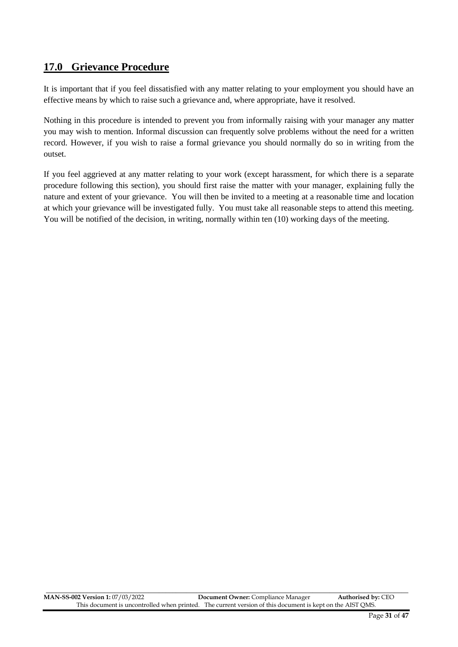## **17.0 Grievance Procedure**

It is important that if you feel dissatisfied with any matter relating to your employment you should have an effective means by which to raise such a grievance and, where appropriate, have it resolved.

Nothing in this procedure is intended to prevent you from informally raising with your manager any matter you may wish to mention. Informal discussion can frequently solve problems without the need for a written record. However, if you wish to raise a formal grievance you should normally do so in writing from the outset.

If you feel aggrieved at any matter relating to your work (except harassment, for which there is a separate procedure following this section), you should first raise the matter with your manager, explaining fully the nature and extent of your grievance. You will then be invited to a meeting at a reasonable time and location at which your grievance will be investigated fully. You must take all reasonable steps to attend this meeting. You will be notified of the decision, in writing, normally within ten (10) working days of the meeting.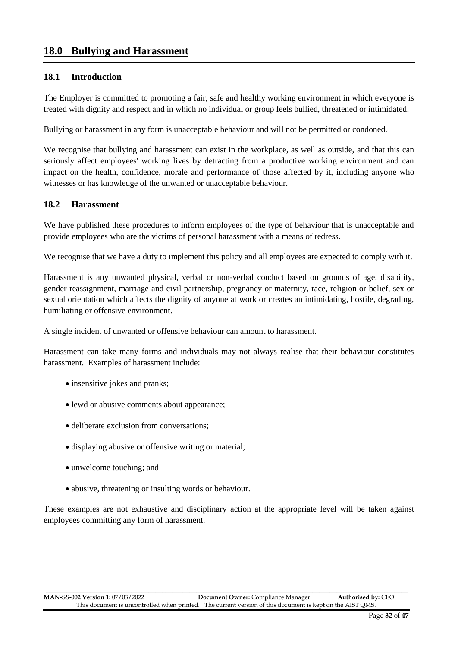## **18.0 Bullying and Harassment**

#### **18.1 Introduction**

The Employer is committed to promoting a fair, safe and healthy working environment in which everyone is treated with dignity and respect and in which no individual or group feels bullied, threatened or intimidated.

Bullying or harassment in any form is unacceptable behaviour and will not be permitted or condoned.

We recognise that bullying and harassment can exist in the workplace, as well as outside, and that this can seriously affect employees' working lives by detracting from a productive working environment and can impact on the health, confidence, morale and performance of those affected by it, including anyone who witnesses or has knowledge of the unwanted or unacceptable behaviour.

#### **18.2 Harassment**

We have published these procedures to inform employees of the type of behaviour that is unacceptable and provide employees who are the victims of personal harassment with a means of redress.

We recognise that we have a duty to implement this policy and all employees are expected to comply with it.

Harassment is any unwanted physical, verbal or non-verbal conduct based on grounds of age, disability, gender reassignment, marriage and civil partnership, pregnancy or maternity, race, religion or belief, sex or sexual orientation which affects the dignity of anyone at work or creates an intimidating, hostile, degrading, humiliating or offensive environment.

A single incident of unwanted or offensive behaviour can amount to harassment.

Harassment can take many forms and individuals may not always realise that their behaviour constitutes harassment. Examples of harassment include:

- insensitive jokes and pranks;
- lewd or abusive comments about appearance;
- deliberate exclusion from conversations;
- displaying abusive or offensive writing or material;
- unwelcome touching; and
- abusive, threatening or insulting words or behaviour.

These examples are not exhaustive and disciplinary action at the appropriate level will be taken against employees committing any form of harassment.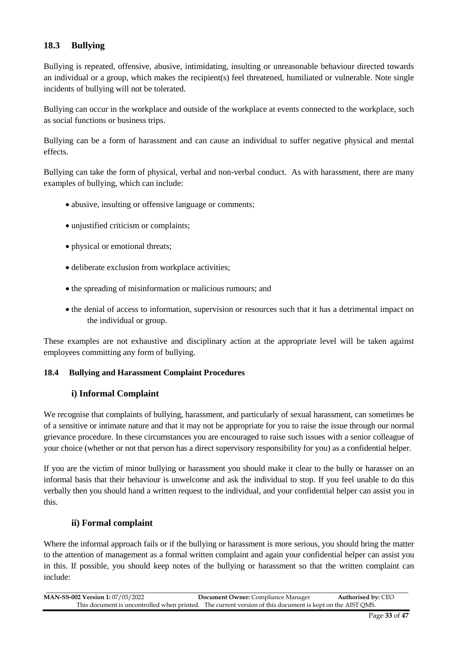#### **18.3 Bullying**

Bullying is repeated, offensive, abusive, intimidating, insulting or unreasonable behaviour directed towards an individual or a group, which makes the recipient(s) feel threatened, humiliated or vulnerable. Note single incidents of bullying will not be tolerated.

Bullying can occur in the workplace and outside of the workplace at events connected to the workplace, such as social functions or business trips.

Bullying can be a form of harassment and can cause an individual to suffer negative physical and mental effects.

Bullying can take the form of physical, verbal and non-verbal conduct. As with harassment, there are many examples of bullying, which can include:

- abusive, insulting or offensive language or comments;
- unjustified criticism or complaints;
- physical or emotional threats;
- deliberate exclusion from workplace activities;
- the spreading of misinformation or malicious rumours; and
- the denial of access to information, supervision or resources such that it has a detrimental impact on the individual or group.

These examples are not exhaustive and disciplinary action at the appropriate level will be taken against employees committing any form of bullying.

#### **18.4 Bullying and Harassment Complaint Procedures**

#### **i) Informal Complaint**

We recognise that complaints of bullying, harassment, and particularly of sexual harassment, can sometimes be of a sensitive or intimate nature and that it may not be appropriate for you to raise the issue through our normal grievance procedure. In these circumstances you are encouraged to raise such issues with a senior colleague of your choice (whether or not that person has a direct supervisory responsibility for you) as a confidential helper.

If you are the victim of minor bullying or harassment you should make it clear to the bully or harasser on an informal basis that their behaviour is unwelcome and ask the individual to stop. If you feel unable to do this verbally then you should hand a written request to the individual, and your confidential helper can assist you in this.

#### **ii) Formal complaint**

Where the informal approach fails or if the bullying or harassment is more serious, you should bring the matter to the attention of management as a formal written complaint and again your confidential helper can assist you in this. If possible, you should keep notes of the bullying or harassment so that the written complaint can include:

| <b>MAN-SS-002 Version 1: 07/03/2022</b> | <b>Document Owner:</b> Compliance Manager                                                                 | <b>Authorised by: CEO</b> |
|-----------------------------------------|-----------------------------------------------------------------------------------------------------------|---------------------------|
|                                         | This document is uncontrolled when printed. The current version of this document is kept on the AIST OMS. |                           |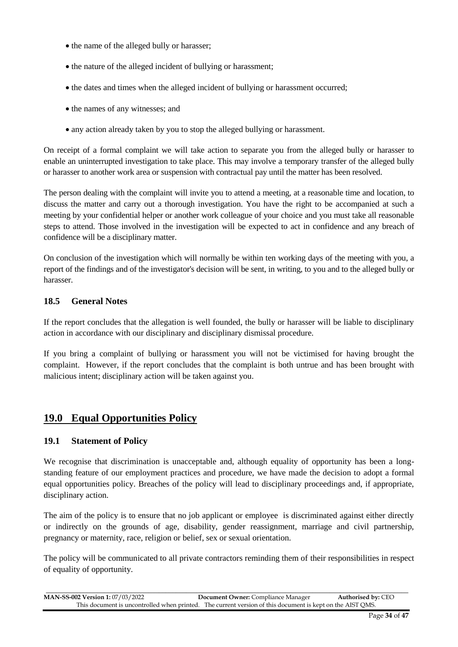- the name of the alleged bully or harasser;
- the nature of the alleged incident of bullying or harassment;
- the dates and times when the alleged incident of bullying or harassment occurred;
- the names of any witnesses; and
- any action already taken by you to stop the alleged bullying or harassment.

On receipt of a formal complaint we will take action to separate you from the alleged bully or harasser to enable an uninterrupted investigation to take place. This may involve a temporary transfer of the alleged bully or harasser to another work area or suspension with contractual pay until the matter has been resolved.

The person dealing with the complaint will invite you to attend a meeting, at a reasonable time and location, to discuss the matter and carry out a thorough investigation. You have the right to be accompanied at such a meeting by your confidential helper or another work colleague of your choice and you must take all reasonable steps to attend. Those involved in the investigation will be expected to act in confidence and any breach of confidence will be a disciplinary matter.

On conclusion of the investigation which will normally be within ten working days of the meeting with you, a report of the findings and of the investigator's decision will be sent, in writing, to you and to the alleged bully or harasser.

#### **18.5 General Notes**

If the report concludes that the allegation is well founded, the bully or harasser will be liable to disciplinary action in accordance with our disciplinary and disciplinary dismissal procedure.

If you bring a complaint of bullying or harassment you will not be victimised for having brought the complaint. However, if the report concludes that the complaint is both untrue and has been brought with malicious intent; disciplinary action will be taken against you.

## **19.0 Equal Opportunities Policy**

#### **19.1 Statement of Policy**

We recognise that discrimination is unacceptable and, although equality of opportunity has been a longstanding feature of our employment practices and procedure, we have made the decision to adopt a formal equal opportunities policy. Breaches of the policy will lead to disciplinary proceedings and, if appropriate, disciplinary action.

The aim of the policy is to ensure that no job applicant or employee is discriminated against either directly or indirectly on the grounds of age, disability, gender reassignment, marriage and civil partnership, pregnancy or maternity, race, religion or belief, sex or sexual orientation.

The policy will be communicated to all private contractors reminding them of their responsibilities in respect of equality of opportunity.

| <b>MAN-SS-002 Version 1: 07/03/2022</b> | <b>Document Owner:</b> Compliance Manager                                                                 | <b>Authorised by: CEO</b> |
|-----------------------------------------|-----------------------------------------------------------------------------------------------------------|---------------------------|
|                                         | This document is uncontrolled when printed. The current version of this document is kept on the AIST OMS. |                           |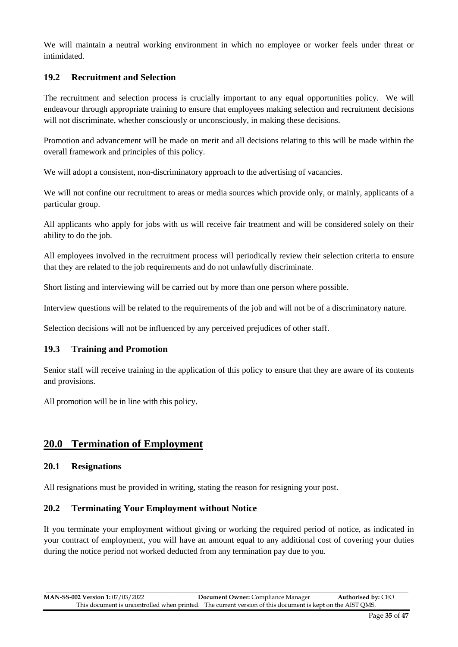We will maintain a neutral working environment in which no employee or worker feels under threat or intimidated.

#### **19.2 Recruitment and Selection**

The recruitment and selection process is crucially important to any equal opportunities policy. We will endeavour through appropriate training to ensure that employees making selection and recruitment decisions will not discriminate, whether consciously or unconsciously, in making these decisions.

Promotion and advancement will be made on merit and all decisions relating to this will be made within the overall framework and principles of this policy.

We will adopt a consistent, non-discriminatory approach to the advertising of vacancies.

We will not confine our recruitment to areas or media sources which provide only, or mainly, applicants of a particular group.

All applicants who apply for jobs with us will receive fair treatment and will be considered solely on their ability to do the job.

All employees involved in the recruitment process will periodically review their selection criteria to ensure that they are related to the job requirements and do not unlawfully discriminate.

Short listing and interviewing will be carried out by more than one person where possible.

Interview questions will be related to the requirements of the job and will not be of a discriminatory nature.

Selection decisions will not be influenced by any perceived prejudices of other staff.

#### **19.3 Training and Promotion**

Senior staff will receive training in the application of this policy to ensure that they are aware of its contents and provisions.

All promotion will be in line with this policy.

## **20.0 Termination of Employment**

#### **20.1 Resignations**

All resignations must be provided in writing, stating the reason for resigning your post.

#### **20.2 Terminating Your Employment without Notice**

If you terminate your employment without giving or working the required period of notice, as indicated in your contract of employment, you will have an amount equal to any additional cost of covering your duties during the notice period not worked deducted from any termination pay due to you.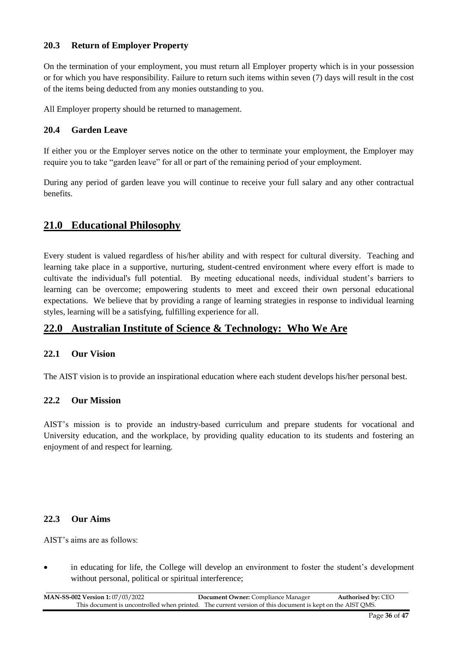#### **20.3 Return of Employer Property**

On the termination of your employment, you must return all Employer property which is in your possession or for which you have responsibility. Failure to return such items within seven (7) days will result in the cost of the items being deducted from any monies outstanding to you.

All Employer property should be returned to management.

#### **20.4 Garden Leave**

If either you or the Employer serves notice on the other to terminate your employment, the Employer may require you to take "garden leave" for all or part of the remaining period of your employment.

During any period of garden leave you will continue to receive your full salary and any other contractual benefits.

## **21.0 Educational Philosophy**

Every student is valued regardless of his/her ability and with respect for cultural diversity. Teaching and learning take place in a supportive, nurturing, student-centred environment where every effort is made to cultivate the individual's full potential. By meeting educational needs, individual student's barriers to learning can be overcome; empowering students to meet and exceed their own personal educational expectations. We believe that by providing a range of learning strategies in response to individual learning styles, learning will be a satisfying, fulfilling experience for all.

## **22.0 Australian Institute of Science & Technology: Who We Are**

#### **22.1 Our Vision**

The AIST vision is to provide an inspirational education where each student develops his/her personal best.

#### **22.2 Our Mission**

AIST's mission is to provide an industry-based curriculum and prepare students for vocational and University education, and the workplace, by providing quality education to its students and fostering an enjoyment of and respect for learning.

#### **22.3 Our Aims**

AIST's aims are as follows:

 in educating for life, the College will develop an environment to foster the student's development without personal, political or spiritual interference;

\_\_\_\_\_\_\_\_\_\_\_\_\_\_\_\_\_\_\_\_\_\_\_\_\_\_\_\_\_\_\_\_\_\_\_\_\_\_\_\_\_\_\_\_\_\_\_\_\_\_\_\_\_\_\_\_\_\_\_\_\_\_\_\_\_\_\_\_\_\_\_\_\_\_\_\_\_\_\_\_\_\_\_\_\_\_\_\_\_\_\_\_\_\_\_\_\_\_\_\_\_\_\_\_\_\_ **MAN-SS-002 Version 1:** 07/03/2022 **Document Owner:** Compliance Manager **Authorised by:** CEO This document is uncontrolled when printed. The current version of this document is kept on the AIST QMS.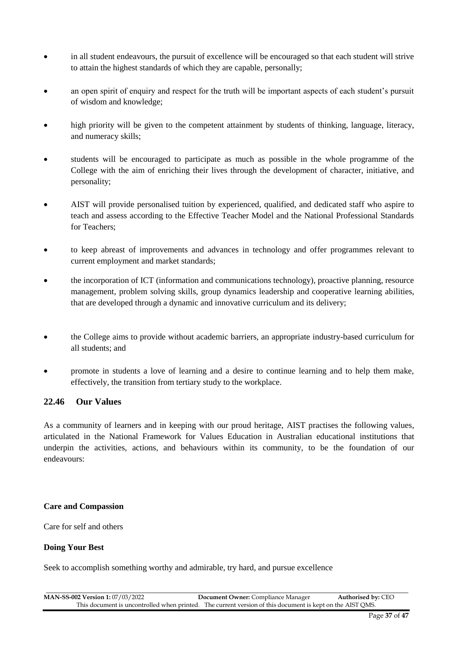- in all student endeavours, the pursuit of excellence will be encouraged so that each student will strive to attain the highest standards of which they are capable, personally;
- an open spirit of enquiry and respect for the truth will be important aspects of each student's pursuit of wisdom and knowledge;
- high priority will be given to the competent attainment by students of thinking, language, literacy, and numeracy skills;
- students will be encouraged to participate as much as possible in the whole programme of the College with the aim of enriching their lives through the development of character, initiative, and personality;
- AIST will provide personalised tuition by experienced, qualified, and dedicated staff who aspire to teach and assess according to the Effective Teacher Model and the National Professional Standards for Teachers;
- to keep abreast of improvements and advances in technology and offer programmes relevant to current employment and market standards;
- the incorporation of ICT (information and communications technology), proactive planning, resource management, problem solving skills, group dynamics leadership and cooperative learning abilities, that are developed through a dynamic and innovative curriculum and its delivery;
- the College aims to provide without academic barriers, an appropriate industry-based curriculum for all students; and
- promote in students a love of learning and a desire to continue learning and to help them make, effectively, the transition from tertiary study to the workplace.

#### **22.46 Our Values**

As a community of learners and in keeping with our proud heritage, AIST practises the following values, articulated in the National Framework for Values Education in Australian educational institutions that underpin the activities, actions, and behaviours within its community, to be the foundation of our endeavours:

#### **Care and Compassion**

Care for self and others

#### **Doing Your Best**

Seek to accomplish something worthy and admirable, try hard, and pursue excellence

| <b>MAN-SS-002 Version 1: 07/03/2022</b> | <b>Document Owner:</b> Compliance Manager                                                                 | <b>Authorised by: CEO</b> |
|-----------------------------------------|-----------------------------------------------------------------------------------------------------------|---------------------------|
|                                         | This document is uncontrolled when printed. The current version of this document is kept on the AIST OMS. |                           |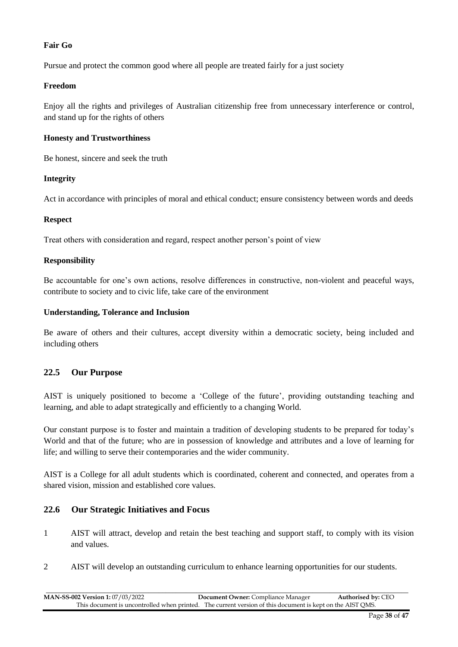#### **Fair Go**

Pursue and protect the common good where all people are treated fairly for a just society

#### **Freedom**

Enjoy all the rights and privileges of Australian citizenship free from unnecessary interference or control, and stand up for the rights of others

#### **Honesty and Trustworthiness**

Be honest, sincere and seek the truth

#### **Integrity**

Act in accordance with principles of moral and ethical conduct; ensure consistency between words and deeds

#### **Respect**

Treat others with consideration and regard, respect another person's point of view

#### **Responsibility**

Be accountable for one's own actions, resolve differences in constructive, non-violent and peaceful ways, contribute to society and to civic life, take care of the environment

#### **Understanding, Tolerance and Inclusion**

Be aware of others and their cultures, accept diversity within a democratic society, being included and including others

#### **22.5 Our Purpose**

AIST is uniquely positioned to become a 'College of the future', providing outstanding teaching and learning, and able to adapt strategically and efficiently to a changing World.

Our constant purpose is to foster and maintain a tradition of developing students to be prepared for today's World and that of the future; who are in possession of knowledge and attributes and a love of learning for life; and willing to serve their contemporaries and the wider community.

AIST is a College for all adult students which is coordinated, coherent and connected, and operates from a shared vision, mission and established core values.

#### **22.6 Our Strategic Initiatives and Focus**

- 1 AIST will attract, develop and retain the best teaching and support staff, to comply with its vision and values.
- 2 AIST will develop an outstanding curriculum to enhance learning opportunities for our students.

\_\_\_\_\_\_\_\_\_\_\_\_\_\_\_\_\_\_\_\_\_\_\_\_\_\_\_\_\_\_\_\_\_\_\_\_\_\_\_\_\_\_\_\_\_\_\_\_\_\_\_\_\_\_\_\_\_\_\_\_\_\_\_\_\_\_\_\_\_\_\_\_\_\_\_\_\_\_\_\_\_\_\_\_\_\_\_\_\_\_\_\_\_\_\_\_\_\_\_\_\_\_\_\_\_\_ **MAN-SS-002 Version 1:** 07/03/2022 **Document Owner:** Compliance Manager **Authorised by:** CEO This document is uncontrolled when printed. The current version of this document is kept on the AIST QMS.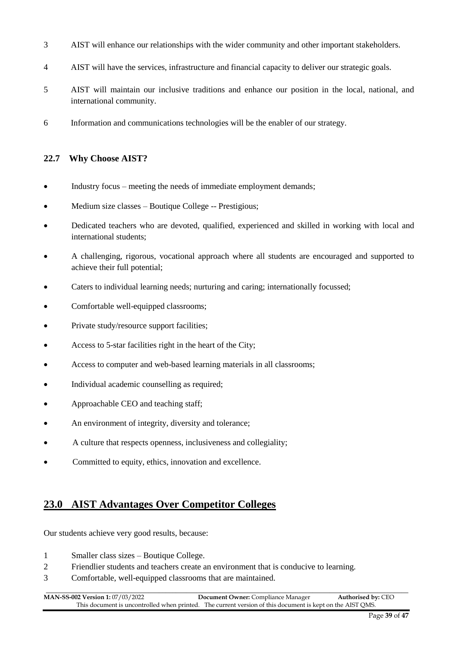- 3 AIST will enhance our relationships with the wider community and other important stakeholders.
- 4 AIST will have the services, infrastructure and financial capacity to deliver our strategic goals.
- 5 AIST will maintain our inclusive traditions and enhance our position in the local, national, and international community.
- 6 Information and communications technologies will be the enabler of our strategy.

#### **22.7 Why Choose AIST?**

- Industry focus meeting the needs of immediate employment demands;
- Medium size classes Boutique College -- Prestigious;
- Dedicated teachers who are devoted, qualified, experienced and skilled in working with local and international students;
- A challenging, rigorous, vocational approach where all students are encouraged and supported to achieve their full potential;
- Caters to individual learning needs; nurturing and caring; internationally focussed;
- Comfortable well-equipped classrooms;
- Private study/resource support facilities;
- Access to 5-star facilities right in the heart of the City;
- Access to computer and web-based learning materials in all classrooms;
- Individual academic counselling as required;
- Approachable CEO and teaching staff;
- An environment of integrity, diversity and tolerance;
- A culture that respects openness, inclusiveness and collegiality;
- Committed to equity, ethics, innovation and excellence.

## **23.0 AIST Advantages Over Competitor Colleges**

Our students achieve very good results, because:

- 1 Smaller class sizes Boutique College.
- 2 Friendlier students and teachers create an environment that is conducive to learning.
- 3 Comfortable, well-equipped classrooms that are maintained.

\_\_\_\_\_\_\_\_\_\_\_\_\_\_\_\_\_\_\_\_\_\_\_\_\_\_\_\_\_\_\_\_\_\_\_\_\_\_\_\_\_\_\_\_\_\_\_\_\_\_\_\_\_\_\_\_\_\_\_\_\_\_\_\_\_\_\_\_\_\_\_\_\_\_\_\_\_\_\_\_\_\_\_\_\_\_\_\_\_\_\_\_\_\_\_\_\_\_\_\_\_\_\_\_\_\_ **MAN-SS-002 Version 1:** 07/03/2022 **Document Owner:** Compliance Manager **Authorised by:** CEO This document is uncontrolled when printed. The current version of this document is kept on the AIST QMS.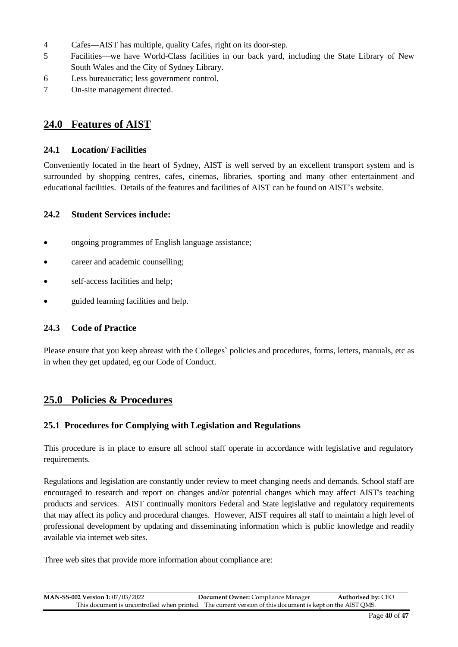- 4 Cafes—AIST has multiple, quality Cafes, right on its door-step.
- 5 Facilities—we have World-Class facilities in our back yard, including the State Library of New South Wales and the City of Sydney Library.
- 6 Less bureaucratic; less government control.
- 7 On-site management directed.

## **24.0 Features of AIST**

#### **24.1 Location/ Facilities**

Conveniently located in the heart of Sydney, AIST is well served by an excellent transport system and is surrounded by shopping centres, cafes, cinemas, libraries, sporting and many other entertainment and educational facilities. Details of the features and facilities of AIST can be found on AIST's website.

#### **24.2 Student Services include:**

- ongoing programmes of English language assistance;
- career and academic counselling;
- self-access facilities and help;
- guided learning facilities and help.

#### **24.3 Code of Practice**

Please ensure that you keep abreast with the Colleges` policies and procedures, forms, letters, manuals, etc as in when they get updated, eg our Code of Conduct.

## **25.0 Policies & Procedures**

#### **25.1 Procedures for Complying with Legislation and Regulations**

This procedure is in place to ensure all school staff operate in accordance with legislative and regulatory requirements.

Regulations and legislation are constantly under review to meet changing needs and demands. School staff are encouraged to research and report on changes and/or potential changes which may affect AIST's teaching products and services. AIST continually monitors Federal and State legislative and regulatory requirements that may affect its policy and procedural changes. However, AIST requires all staff to maintain a high level of professional development by updating and disseminating information which is public knowledge and readily available via internet web sites.

Three web sites that provide more information about compliance are: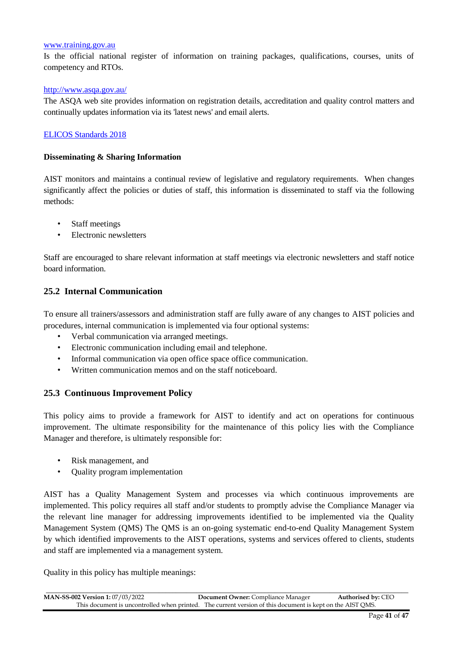#### [www.training.gov.au](http://www.training.gov.au/)

Is the official national register of information on training packages, qualifications, courses, units of competency and RTOs.

#### http://www.asqa.gov.au/

The ASQA web site provides information on registration details, accreditation and quality control matters and continually updates information via its 'latest news' and email alerts.

#### [ELICOS Standards 2018](https://internationaleducation.gov.au/Regulatory-Information/Education-Services-for-Overseas-Students-ESOS-Legislative-Framework/ELICOSnationalstandards/Pages/Default.aspx)

#### **Disseminating & Sharing Information**

AIST monitors and maintains a continual review of legislative and regulatory requirements. When changes significantly affect the policies or duties of staff, this information is disseminated to staff via the following methods:

- Staff meetings
- Electronic newsletters

Staff are encouraged to share relevant information at staff meetings via electronic newsletters and staff notice board information.

#### **25.2 Internal Communication**

To ensure all trainers/assessors and administration staff are fully aware of any changes to AIST policies and procedures, internal communication is implemented via four optional systems:

- Verbal communication via arranged meetings.
- Electronic communication including email and telephone.
- Informal communication via open office space office communication.
- Written communication memos and on the staff noticeboard.

#### **25.3 Continuous Improvement Policy**

This policy aims to provide a framework for AIST to identify and act on operations for continuous improvement. The ultimate responsibility for the maintenance of this policy lies with the Compliance Manager and therefore, is ultimately responsible for:

- Risk management, and
- Quality program implementation

AIST has a Quality Management System and processes via which continuous improvements are implemented. This policy requires all staff and/or students to promptly advise the Compliance Manager via the relevant line manager for addressing improvements identified to be implemented via the Quality Management System (QMS) The QMS is an on-going systematic end-to-end Quality Management System by which identified improvements to the AIST operations, systems and services offered to clients, students and staff are implemented via a management system.

Quality in this policy has multiple meanings:

| <b>MAN-SS-002 Version 1: 07/03/2022</b> | <b>Document Owner:</b> Compliance Manager                                                                 | <b>Authorised by: CEO</b> |
|-----------------------------------------|-----------------------------------------------------------------------------------------------------------|---------------------------|
|                                         | This document is uncontrolled when printed. The current version of this document is kept on the AIST OMS. |                           |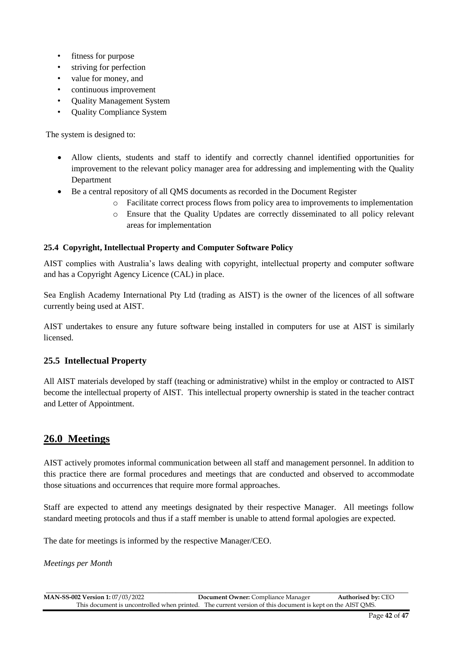- fitness for purpose
- striving for perfection
- value for money, and
- continuous improvement
- Quality Management System
- Quality Compliance System

The system is designed to:

- Allow clients, students and staff to identify and correctly channel identified opportunities for improvement to the relevant policy manager area for addressing and implementing with the Quality Department
- Be a central repository of all QMS documents as recorded in the Document Register
	- o Facilitate correct process flows from policy area to improvements to implementation
	- o Ensure that the Quality Updates are correctly disseminated to all policy relevant areas for implementation

#### **25.4 Copyright, Intellectual Property and Computer Software Policy**

AIST complies with Australia's laws dealing with copyright, intellectual property and computer software and has a Copyright Agency Licence (CAL) in place.

Sea English Academy International Pty Ltd (trading as AIST) is the owner of the licences of all software currently being used at AIST.

AIST undertakes to ensure any future software being installed in computers for use at AIST is similarly licensed.

#### **25.5 Intellectual Property**

All AIST materials developed by staff (teaching or administrative) whilst in the employ or contracted to AIST become the intellectual property of AIST. This intellectual property ownership is stated in the teacher contract and Letter of Appointment.

## **26.0 Meetings**

AIST actively promotes informal communication between all staff and management personnel. In addition to this practice there are formal procedures and meetings that are conducted and observed to accommodate those situations and occurrences that require more formal approaches.

Staff are expected to attend any meetings designated by their respective Manager. All meetings follow standard meeting protocols and thus if a staff member is unable to attend formal apologies are expected.

The date for meetings is informed by the respective Manager/CEO.

*Meetings per Month*

| <b>MAN-SS-002 Version 1: 07/03/2022</b> | <b>Document Owner:</b> Compliance Manager                                                                 | <b>Authorised by: CEO</b> |
|-----------------------------------------|-----------------------------------------------------------------------------------------------------------|---------------------------|
|                                         | This document is uncontrolled when printed. The current version of this document is kept on the AIST OMS. |                           |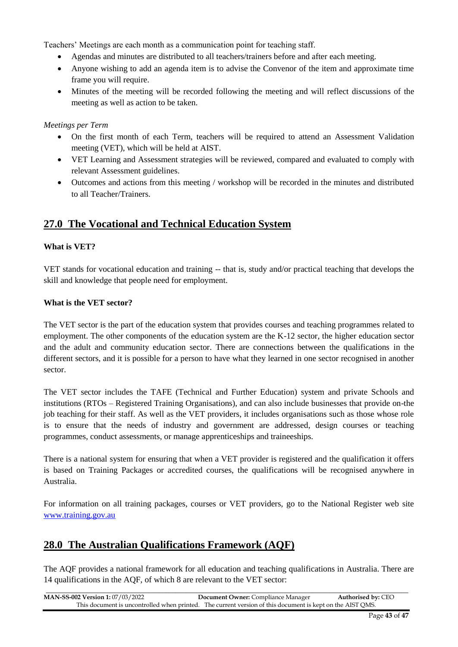Teachers' Meetings are each month as a communication point for teaching staff.

- Agendas and minutes are distributed to all teachers/trainers before and after each meeting.
- Anyone wishing to add an agenda item is to advise the Convenor of the item and approximate time frame you will require.
- Minutes of the meeting will be recorded following the meeting and will reflect discussions of the meeting as well as action to be taken.

#### *Meetings per Term*

- On the first month of each Term, teachers will be required to attend an Assessment Validation meeting (VET), which will be held at AIST.
- VET Learning and Assessment strategies will be reviewed, compared and evaluated to comply with relevant Assessment guidelines.
- Outcomes and actions from this meeting / workshop will be recorded in the minutes and distributed to all Teacher/Trainers.

## **27.0 The Vocational and Technical Education System**

#### **What is VET?**

VET stands for vocational education and training -- that is, study and/or practical teaching that develops the skill and knowledge that people need for employment.

#### **What is the VET sector?**

The VET sector is the part of the education system that provides courses and teaching programmes related to employment. The other components of the education system are the K-12 sector, the higher education sector and the adult and community education sector. There are connections between the qualifications in the different sectors, and it is possible for a person to have what they learned in one sector recognised in another sector.

The VET sector includes the TAFE (Technical and Further Education) system and private Schools and institutions (RTOs – Registered Training Organisations), and can also include businesses that provide on-the job teaching for their staff. As well as the VET providers, it includes organisations such as those whose role is to ensure that the needs of industry and government are addressed, design courses or teaching programmes, conduct assessments, or manage apprenticeships and traineeships.

There is a national system for ensuring that when a VET provider is registered and the qualification it offers is based on Training Packages or accredited courses, the qualifications will be recognised anywhere in Australia.

For information on all training packages, courses or VET providers, go to the National Register web site [www.t](http://www./)raining.gov.au

## **28.0 The Australian Qualifications Framework (AQF)**

The AQF provides a national framework for all education and teaching qualifications in Australia. There are 14 qualifications in the AQF, of which 8 are relevant to the VET sector:

| <b>MAN-SS-002 Version 1:</b> 07/03/2022 | <b>Document Owner:</b> Compliance Manager                                                                 | <b>Authorised by: CEO</b> |
|-----------------------------------------|-----------------------------------------------------------------------------------------------------------|---------------------------|
|                                         | This document is uncontrolled when printed. The current version of this document is kept on the AIST OMS. |                           |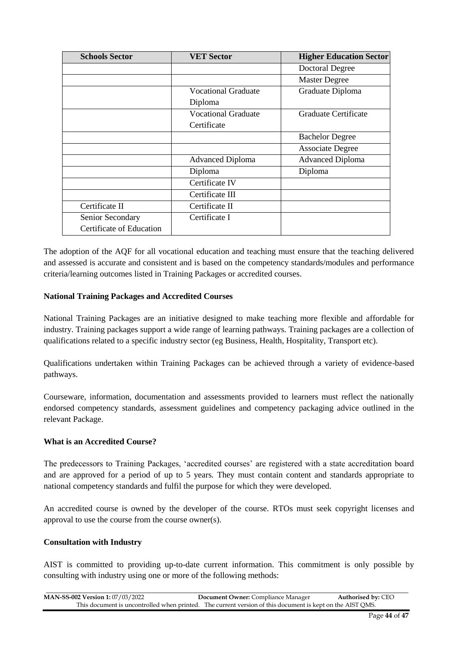| <b>Schools Sector</b>    | <b>VET Sector</b>          | <b>Higher Education Sector</b> |
|--------------------------|----------------------------|--------------------------------|
|                          |                            | <b>Doctoral Degree</b>         |
|                          |                            | <b>Master Degree</b>           |
|                          | Vocational Graduate        | Graduate Diploma               |
|                          | Diploma                    |                                |
|                          | <b>Vocational Graduate</b> | Graduate Certificate           |
|                          | Certificate                |                                |
|                          |                            | <b>Bachelor Degree</b>         |
|                          |                            | <b>Associate Degree</b>        |
|                          | <b>Advanced Diploma</b>    | <b>Advanced Diploma</b>        |
|                          | Diploma                    | Diploma                        |
|                          | Certificate IV             |                                |
|                          | Certificate III            |                                |
| Certificate II           | Certificate II             |                                |
| Senior Secondary         | Certificate I              |                                |
| Certificate of Education |                            |                                |

The adoption of the AQF for all vocational education and teaching must ensure that the teaching delivered and assessed is accurate and consistent and is based on the competency standards/modules and performance criteria/learning outcomes listed in Training Packages or accredited courses.

#### **National Training Packages and Accredited Courses**

National Training Packages are an initiative designed to make teaching more flexible and affordable for industry. Training packages support a wide range of learning pathways. Training packages are a collection of qualifications related to a specific industry sector (eg Business, Health, Hospitality, Transport etc).

Qualifications undertaken within Training Packages can be achieved through a variety of evidence-based pathways.

Courseware, information, documentation and assessments provided to learners must reflect the nationally endorsed competency standards, assessment guidelines and competency packaging advice outlined in the relevant Package.

#### **What is an Accredited Course?**

The predecessors to Training Packages, 'accredited courses' are registered with a state accreditation board and are approved for a period of up to 5 years. They must contain content and standards appropriate to national competency standards and fulfil the purpose for which they were developed.

An accredited course is owned by the developer of the course. RTOs must seek copyright licenses and approval to use the course from the course owner(s).

#### **Consultation with Industry**

AIST is committed to providing up-to-date current information. This commitment is only possible by consulting with industry using one or more of the following methods:

| <b>MAN-SS-002 Version 1: 07/03/2022</b> | <b>Document Owner:</b> Compliance Manager                                                                 | <b>Authorised by: CEO</b> |
|-----------------------------------------|-----------------------------------------------------------------------------------------------------------|---------------------------|
|                                         | This document is uncontrolled when printed. The current version of this document is kept on the AIST OMS. |                           |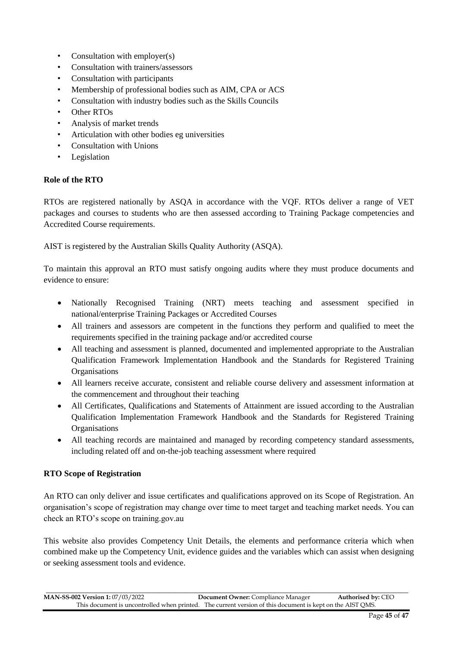- Consultation with employer(s)
- Consultation with trainers/assessors
- Consultation with participants
- Membership of professional bodies such as AIM, CPA or ACS
- Consultation with industry bodies such as the Skills Councils
- Other RTOs
- Analysis of market trends
- Articulation with other bodies eg universities
- Consultation with Unions
- Legislation

#### **Role of the RTO**

RTOs are registered nationally by ASQA in accordance with the VQF. RTOs deliver a range of VET packages and courses to students who are then assessed according to Training Package competencies and Accredited Course requirements.

AIST is registered by the Australian Skills Quality Authority (ASQA).

To maintain this approval an RTO must satisfy ongoing audits where they must produce documents and evidence to ensure:

- Nationally Recognised Training (NRT) meets teaching and assessment specified in national/enterprise Training Packages or Accredited Courses
- All trainers and assessors are competent in the functions they perform and qualified to meet the requirements specified in the training package and/or accredited course
- All teaching and assessment is planned, documented and implemented appropriate to the Australian Qualification Framework Implementation Handbook and the Standards for Registered Training **Organisations**
- All learners receive accurate, consistent and reliable course delivery and assessment information at the commencement and throughout their teaching
- All Certificates, Qualifications and Statements of Attainment are issued according to the Australian Qualification Implementation Framework Handbook and the Standards for Registered Training **Organisations**
- All teaching records are maintained and managed by recording competency standard assessments, including related off and on-the-job teaching assessment where required

#### **RTO Scope of Registration**

An RTO can only deliver and issue certificates and qualifications approved on its Scope of Registration. An organisation's scope of registration may change over time to meet target and teaching market needs. You can check an RTO's scope on training.gov.au

This website also provides Competency Unit Details, the elements and performance criteria which when combined make up the Competency Unit, evidence guides and the variables which can assist when designing or seeking assessment tools and evidence.

| <b>MAN-SS-002 Version 1: 07/03/2022</b> | <b>Document Owner:</b> Compliance Manager                                                                 | <b>Authorised by: CEO</b> |
|-----------------------------------------|-----------------------------------------------------------------------------------------------------------|---------------------------|
|                                         | This document is uncontrolled when printed. The current version of this document is kept on the AIST OMS. |                           |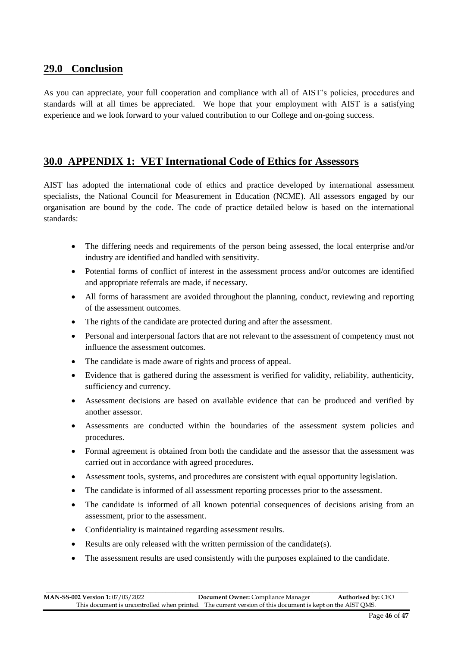## **29.0 Conclusion**

As you can appreciate, your full cooperation and compliance with all of AIST's policies, procedures and standards will at all times be appreciated. We hope that your employment with AIST is a satisfying experience and we look forward to your valued contribution to our College and on-going success.

## **30.0 APPENDIX 1: VET International Code of Ethics for Assessors**

AIST has adopted the international code of ethics and practice developed by international assessment specialists, the National Council for Measurement in Education (NCME). All assessors engaged by our organisation are bound by the code. The code of practice detailed below is based on the international standards:

- The differing needs and requirements of the person being assessed, the local enterprise and/or industry are identified and handled with sensitivity.
- Potential forms of conflict of interest in the assessment process and/or outcomes are identified and appropriate referrals are made, if necessary.
- All forms of harassment are avoided throughout the planning, conduct, reviewing and reporting of the assessment outcomes.
- The rights of the candidate are protected during and after the assessment.
- Personal and interpersonal factors that are not relevant to the assessment of competency must not influence the assessment outcomes.
- The candidate is made aware of rights and process of appeal.
- Evidence that is gathered during the assessment is verified for validity, reliability, authenticity, sufficiency and currency.
- Assessment decisions are based on available evidence that can be produced and verified by another assessor.
- Assessments are conducted within the boundaries of the assessment system policies and procedures.
- Formal agreement is obtained from both the candidate and the assessor that the assessment was carried out in accordance with agreed procedures.
- Assessment tools, systems, and procedures are consistent with equal opportunity legislation.
- The candidate is informed of all assessment reporting processes prior to the assessment.
- The candidate is informed of all known potential consequences of decisions arising from an assessment, prior to the assessment.
- Confidentiality is maintained regarding assessment results.
- Results are only released with the written permission of the candidate(s).
- The assessment results are used consistently with the purposes explained to the candidate.